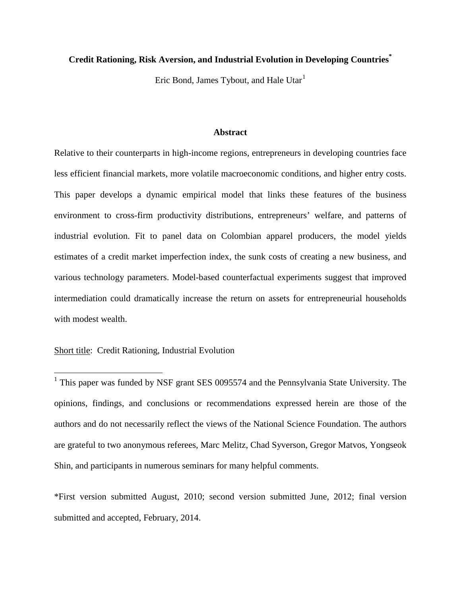## **Credit Rationing, Risk Aversion, and Industrial Evolution in Developing Countries\***

Eric Bond, James Tybout, and Hale Utar<sup>[1](#page-0-0)</sup>

## **Abstract**

Relative to their counterparts in high-income regions, entrepreneurs in developing countries face less efficient financial markets, more volatile macroeconomic conditions, and higher entry costs. This paper develops a dynamic empirical model that links these features of the business environment to cross-firm productivity distributions, entrepreneurs' welfare, and patterns of industrial evolution. Fit to panel data on Colombian apparel producers, the model yields estimates of a credit market imperfection index, the sunk costs of creating a new business, and various technology parameters. Model-based counterfactual experiments suggest that improved intermediation could dramatically increase the return on assets for entrepreneurial households with modest wealth.

## Short title: Credit Rationing, Industrial Evolution

<span id="page-0-0"></span> $1$  This paper was funded by NSF grant SES 0095574 and the Pennsylvania State University. The opinions, findings, and conclusions or recommendations expressed herein are those of the authors and do not necessarily reflect the views of the National Science Foundation. The authors are grateful to two anonymous referees, Marc Melitz, Chad Syverson, Gregor Matvos, Yongseok Shin, and participants in numerous seminars for many helpful comments.

\*First version submitted August, 2010; second version submitted June, 2012; final version submitted and accepted, February, 2014.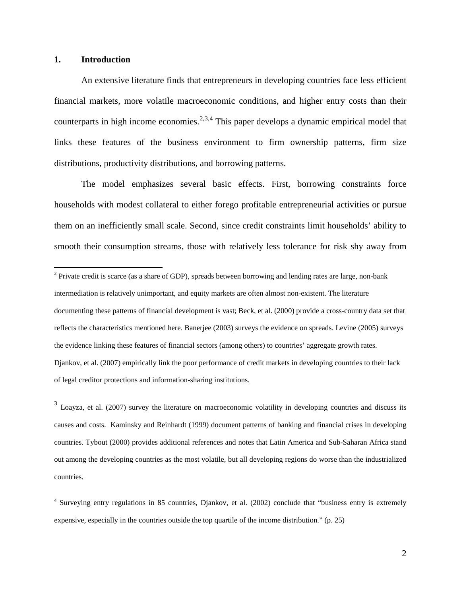### **1. Introduction**

An extensive literature finds that entrepreneurs in developing countries face less efficient financial markets, more volatile macroeconomic conditions, and higher entry costs than their counterparts in high income economies.<sup>[2,](#page-1-0)[3](#page-1-1),[4](#page-1-2)</sup> This paper develops a dynamic empirical model that links these features of the business environment to firm ownership patterns, firm size distributions, productivity distributions, and borrowing patterns.

The model emphasizes several basic effects. First, borrowing constraints force households with modest collateral to either forego profitable entrepreneurial activities or pursue them on an inefficiently small scale. Second, since credit constraints limit households' ability to smooth their consumption streams, those with relatively less tolerance for risk shy away from

<span id="page-1-1"></span> $3$  Loavza, et al. (2007) survey the literature on macroeconomic volatility in developing countries and discuss its causes and costs. Kaminsky and Reinhardt (1999) document patterns of banking and financial crises in developing countries. Tybout (2000) provides additional references and notes that Latin America and Sub-Saharan Africa stand out among the developing countries as the most volatile, but all developing regions do worse than the industrialized countries.

<span id="page-1-0"></span><sup>&</sup>lt;sup>2</sup> Private credit is scarce (as a share of GDP), spreads between borrowing and lending rates are large, non-bank intermediation is relatively unimportant, and equity markets are often almost non-existent. The literature documenting these patterns of financial development is vast; Beck, et al. (2000) provide a cross-country data set that reflects the characteristics mentioned here. Banerjee (2003) surveys the evidence on spreads. Levine (2005) surveys the evidence linking these features of financial sectors (among others) to countries' aggregate growth rates. Djankov, et al. (2007) empirically link the poor performance of credit markets in developing countries to their lack of legal creditor protections and information-sharing institutions.

<span id="page-1-2"></span><sup>&</sup>lt;sup>4</sup> Surveying entry regulations in 85 countries, Diankov, et al. (2002) conclude that "business entry is extremely expensive, especially in the countries outside the top quartile of the income distribution." (p. 25)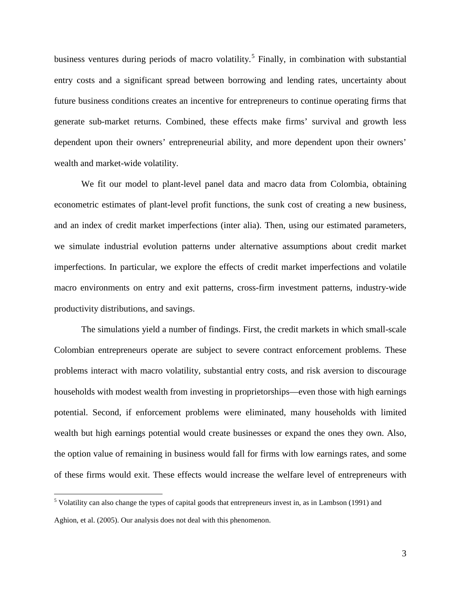business ventures during periods of macro volatility.<sup>[5](#page-2-0)</sup> Finally, in combination with substantial entry costs and a significant spread between borrowing and lending rates, uncertainty about future business conditions creates an incentive for entrepreneurs to continue operating firms that generate sub-market returns. Combined, these effects make firms' survival and growth less dependent upon their owners' entrepreneurial ability, and more dependent upon their owners' wealth and market-wide volatility.

We fit our model to plant-level panel data and macro data from Colombia, obtaining econometric estimates of plant-level profit functions, the sunk cost of creating a new business, and an index of credit market imperfections (inter alia). Then, using our estimated parameters, we simulate industrial evolution patterns under alternative assumptions about credit market imperfections. In particular, we explore the effects of credit market imperfections and volatile macro environments on entry and exit patterns, cross-firm investment patterns, industry-wide productivity distributions, and savings.

The simulations yield a number of findings. First, the credit markets in which small-scale Colombian entrepreneurs operate are subject to severe contract enforcement problems. These problems interact with macro volatility, substantial entry costs, and risk aversion to discourage households with modest wealth from investing in proprietorships—even those with high earnings potential. Second, if enforcement problems were eliminated, many households with limited wealth but high earnings potential would create businesses or expand the ones they own. Also, the option value of remaining in business would fall for firms with low earnings rates, and some of these firms would exit. These effects would increase the welfare level of entrepreneurs with

<span id="page-2-0"></span> <sup>5</sup> Volatility can also change the types of capital goods that entrepreneurs invest in, as in Lambson (1991) and Aghion, et al. (2005). Our analysis does not deal with this phenomenon.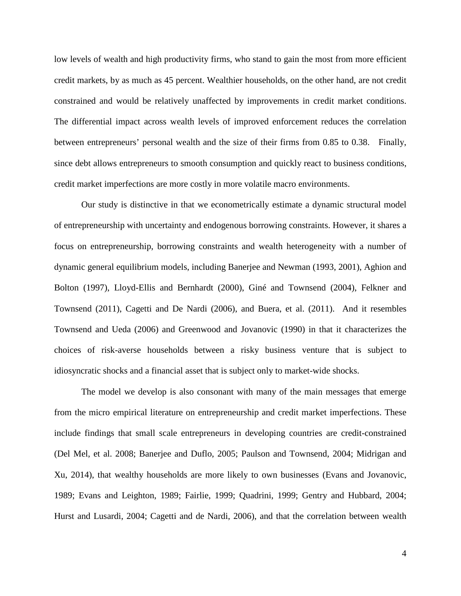low levels of wealth and high productivity firms, who stand to gain the most from more efficient credit markets, by as much as 45 percent. Wealthier households, on the other hand, are not credit constrained and would be relatively unaffected by improvements in credit market conditions. The differential impact across wealth levels of improved enforcement reduces the correlation between entrepreneurs' personal wealth and the size of their firms from 0.85 to 0.38. Finally, since debt allows entrepreneurs to smooth consumption and quickly react to business conditions, credit market imperfections are more costly in more volatile macro environments.

Our study is distinctive in that we econometrically estimate a dynamic structural model of entrepreneurship with uncertainty and endogenous borrowing constraints. However, it shares a focus on entrepreneurship, borrowing constraints and wealth heterogeneity with a number of dynamic general equilibrium models, including Banerjee and Newman (1993, 2001), Aghion and Bolton (1997), Lloyd-Ellis and Bernhardt (2000), Giné and Townsend (2004), Felkner and Townsend (2011), Cagetti and De Nardi (2006), and Buera, et al. (2011). And it resembles Townsend and Ueda (2006) and Greenwood and Jovanovic (1990) in that it characterizes the choices of risk-averse households between a risky business venture that is subject to idiosyncratic shocks and a financial asset that is subject only to market-wide shocks.

The model we develop is also consonant with many of the main messages that emerge from the micro empirical literature on entrepreneurship and credit market imperfections. These include findings that small scale entrepreneurs in developing countries are credit-constrained (Del Mel, et al. 2008; Banerjee and Duflo, 2005; Paulson and Townsend, 2004; Midrigan and Xu, 2014), that wealthy households are more likely to own businesses (Evans and Jovanovic, 1989; Evans and Leighton, 1989; Fairlie, 1999; Quadrini, 1999; Gentry and Hubbard, 2004; Hurst and Lusardi, 2004; Cagetti and de Nardi, 2006), and that the correlation between wealth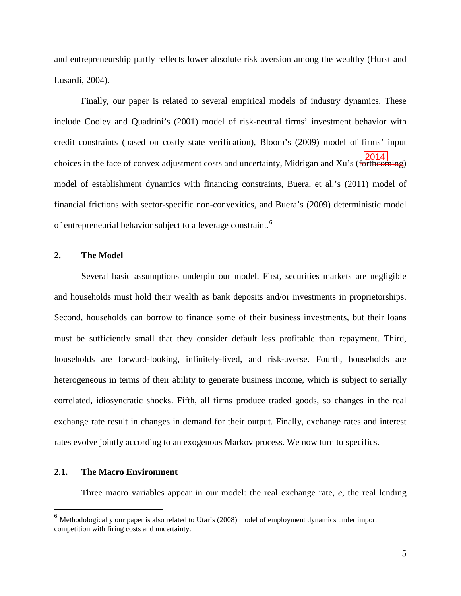and entrepreneurship partly reflects lower absolute risk aversion among the wealthy (Hurst and Lusardi, 2004).

Finally, our paper is related to several empirical models of industry dynamics. These include Cooley and Quadrini's (2001) model of risk-neutral firms' investment behavior with credit constraints (based on costly state verification), Bloom's (2009) model of firms' input choices in the face of convex adjustment costs and uncertainty, Midrigan and Xu's (forthcoming) model of establishment dynamics with financing constraints, Buera, et al.'s (2011) model of financial frictions with sector-specific non-convexities, and Buera's (2009) deterministic model of entrepreneurial behavior subject to a leverage constraint.<sup>[6](#page-4-0)</sup> 2014

### **2. The Model**

Several basic assumptions underpin our model. First, securities markets are negligible and households must hold their wealth as bank deposits and/or investments in proprietorships. Second, households can borrow to finance some of their business investments, but their loans must be sufficiently small that they consider default less profitable than repayment. Third, households are forward-looking, infinitely-lived, and risk-averse. Fourth, households are heterogeneous in terms of their ability to generate business income, which is subject to serially correlated, idiosyncratic shocks. Fifth, all firms produce traded goods, so changes in the real exchange rate result in changes in demand for their output. Finally, exchange rates and interest rates evolve jointly according to an exogenous Markov process. We now turn to specifics.

## **2.1. The Macro Environment**

Three macro variables appear in our model: the real exchange rate, *e*, the real lending

<span id="page-4-0"></span> $<sup>6</sup>$  Methodologically our paper is also related to Utar's (2008) model of employment dynamics under import</sup> competition with firing costs and uncertainty.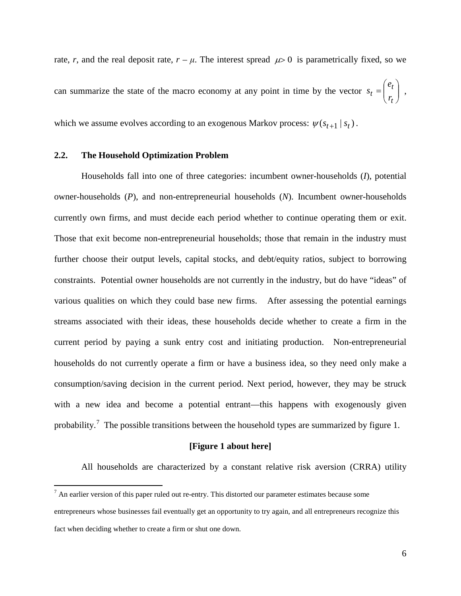rate, *r*, and the real deposit rate,  $r - \mu$ . The interest spread  $\mu > 0$  is parametrically fixed, so we can summarize the state of the macro economy at any point in time by the vector  $s_t = \begin{bmatrix} c_t \\ r \end{bmatrix}$ J  $\setminus$  $\overline{\phantom{a}}$  $\setminus$  $=\bigg($ *t t*  $t = \begin{pmatrix} r \end{pmatrix}$ *e*  $s_t = \begin{vmatrix} 1 & 1 \\ 1 & 1 \end{vmatrix}$ which we assume evolves according to an exogenous Markov process:  $\psi(s_{t+1} | s_t)$ .

## **2.2. The Household Optimization Problem**

Households fall into one of three categories: incumbent owner-households (*I*), potential owner-households (*P*), and non-entrepreneurial households (*N*). Incumbent owner-households currently own firms, and must decide each period whether to continue operating them or exit. Those that exit become non-entrepreneurial households; those that remain in the industry must further choose their output levels, capital stocks, and debt/equity ratios, subject to borrowing constraints. Potential owner households are not currently in the industry, but do have "ideas" of various qualities on which they could base new firms. After assessing the potential earnings streams associated with their ideas, these households decide whether to create a firm in the current period by paying a sunk entry cost and initiating production. Non-entrepreneurial households do not currently operate a firm or have a business idea, so they need only make a consumption/saving decision in the current period. Next period, however, they may be struck with a new idea and become a potential entrant—this happens with exogenously given probability.<sup>[7](#page-5-0)</sup> The possible transitions between the household types are summarized by figure 1.

## **[Figure 1 about here]**

All households are characterized by a constant relative risk aversion (CRRA) utility

<span id="page-5-0"></span> $<sup>7</sup>$  An earlier version of this paper ruled out re-entry. This distorted our parameter estimates because some</sup> entrepreneurs whose businesses fail eventually get an opportunity to try again, and all entrepreneurs recognize this fact when deciding whether to create a firm or shut one down.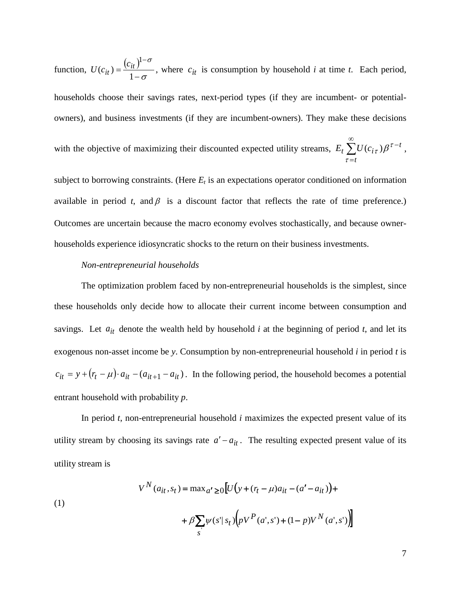function,  $U(c_{it}) = \frac{(c_{it})^{1-}}{1-\sigma}$ σ  $=\frac{(v_{tt})}{1-}$ −  $(c_{it}) = \frac{c_{it}}{1}$  $\mathbf{1}$ *it it*  $U(c_{it}) = \frac{(c_{it})^{1-\delta}}{1-\sigma}$ , where  $c_{it}$  is consumption by household *i* at time *t*. Each period, households choose their savings rates, next-period types (if they are incumbent- or potentialowners), and business investments (if they are incumbent-owners). They make these decisions with the objective of maximizing their discounted expected utility streams,  $E_t \sum$ ∞ = − *t*  $E_t \sum U(c_{i\tau})\beta^{\tau-t}$ , τ

subject to borrowing constraints. (Here  $E_t$  is an expectations operator conditioned on information available in period *t*, and  $\beta$  is a discount factor that reflects the rate of time preference.) Outcomes are uncertain because the macro economy evolves stochastically, and because ownerhouseholds experience idiosyncratic shocks to the return on their business investments.

## *Non-entrepreneurial households*

The optimization problem faced by non-entrepreneurial households is the simplest, since these households only decide how to allocate their current income between consumption and savings. Let  $a_{it}$  denote the wealth held by household *i* at the beginning of period *t*, and let its exogenous non-asset income be *y*. Consumption by non-entrepreneurial household *i* in period *t* is  $c_{it} = y + (r_t - \mu) \cdot a_{it} - (a_{it+1} - a_{it})$ . In the following period, the household becomes a potential entrant household with probability *p*.

In period *t*, non-entrepreneurial household *i* maximizes the expected present value of its utility stream by choosing its savings rate  $a' - a_{it}$ . The resulting expected present value of its utility stream is

(1)  

$$
V^{N}(a_{it}, s_{t}) = \max_{a' \ge 0} [U(y + (r_{t} - \mu)a_{it} - (a' - a_{it})) +
$$

$$
+ \beta \sum_{s'} \psi(s' | s_{t}) (pV^{P}(a', s') + (1 - p)V^{N}(a', s'))
$$

7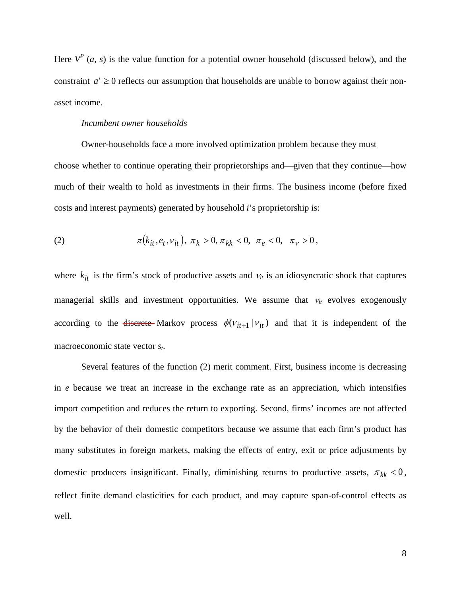Here  $V^P$  (*a*, *s*) is the value function for a potential owner household (discussed below), and the constraint  $a' \geq 0$  reflects our assumption that households are unable to borrow against their nonasset income.

#### *Incumbent owner households*

Owner-households face a more involved optimization problem because they must choose whether to continue operating their proprietorships and—given that they continue—how much of their wealth to hold as investments in their firms. The business income (before fixed costs and interest payments) generated by household *i*'s proprietorship is:

(2) 
$$
\pi(k_{it}, e_t, v_{it}), \pi_k > 0, \pi_{kk} < 0, \pi_e < 0, \pi_v > 0,
$$

where  $k_{it}$  is the firm's stock of productive assets and  $v_{it}$  is an idiosyncratic shock that captures managerial skills and investment opportunities. We assume that  $v_{it}$  evolves exogenously according to the <del>discrete</del> Markov process  $\phi(v_{it+1} | v_{it})$  and that it is independent of the macroeconomic state vector *st*.

Several features of the function (2) merit comment. First, business income is decreasing in *e* because we treat an increase in the exchange rate as an appreciation, which intensifies import competition and reduces the return to exporting. Second, firms' incomes are not affected by the behavior of their domestic competitors because we assume that each firm's product has many substitutes in foreign markets, making the effects of entry, exit or price adjustments by domestic producers insignificant. Finally, diminishing returns to productive assets,  $\pi_{kk}$  < 0, reflect finite demand elasticities for each product, and may capture span-of-control effects as well.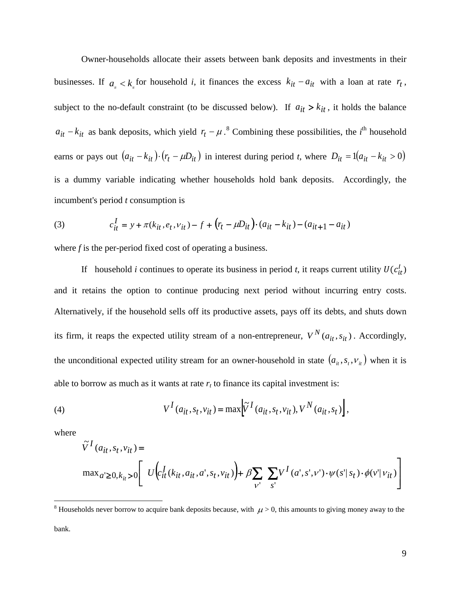Owner-households allocate their assets between bank deposits and investments in their businesses. If  $a_{i} < k_{i}$  for household *i*, it finances the excess  $k_{it} - a_{it}$  with a loan at rate  $r_{t}$ , subject to the no-default constraint (to be discussed below). If  $a_{it} > k_{it}$ , it holds the balance  $a_{it} - k_{it}$  as bank deposits, which yield  $r_t - \mu$ .<sup>[8](#page-8-0)</sup> Combining these possibilities, the *i*<sup>th</sup> household earns or pays out  $(a_{it} - k_{it}) \cdot (r_t - \mu D_{it})$  in interest during period *t*, where  $D_{it} = 1(a_{it} - k_{it} > 0)$ is a dummy variable indicating whether households hold bank deposits. Accordingly, the incumbent's period *t* consumption is

(3) 
$$
c_{it}^I = y + \pi(k_{it}, e_t, v_{it}) - f + (r_t - \mu D_{it}) \cdot (a_{it} - k_{it}) - (a_{it+1} - a_{it})
$$

where *f* is the per-period fixed cost of operating a business.

If household *i* continues to operate its business in period *t*, it reaps current utility  $U(c_{it}^l)$ and it retains the option to continue producing next period without incurring entry costs. Alternatively, if the household sells off its productive assets, pays off its debts, and shuts down its firm, it reaps the expected utility stream of a non-entrepreneur,  $V^N(a_{it}, s_{it})$ . Accordingly, the unconditional expected utility stream for an owner-household in state  $(a_{it}, s_t, v_{it})$  when it is able to borrow as much as it wants at rate  $r_t$  to finance its capital investment is:

(4) 
$$
V^{I}(a_{it}, s_{t}, v_{it}) = \max \left[ \widetilde{V}^{I}(a_{it}, s_{t}, v_{it}), V^{N}(a_{it}, s_{t}) \right],
$$

where

$$
\begin{aligned} &\tilde{V}^I(a_{it},s_t,v_{it}) = \\ &\max{}_{a' \geq 0, k_{it} > 0} \Bigg[ \begin{array}{c} U\Big(c_{it}^I(k_{it},a_{it},a',s_t,v_{it})\Big) + \beta \sum\limits_{\nu^{\prime}}\;\sum\limits_{s^{\prime}} V^I(a',s',\nu^{\prime}) \cdot \psi(s^{\prime}|s_t) \cdot \phi(v^{\prime}|v_{it}) \\ \end{array} \Bigg] \end{aligned}
$$

<span id="page-8-0"></span><sup>&</sup>lt;sup>8</sup> Households never borrow to acquire bank deposits because, with  $\mu$  > 0, this amounts to giving money away to the bank.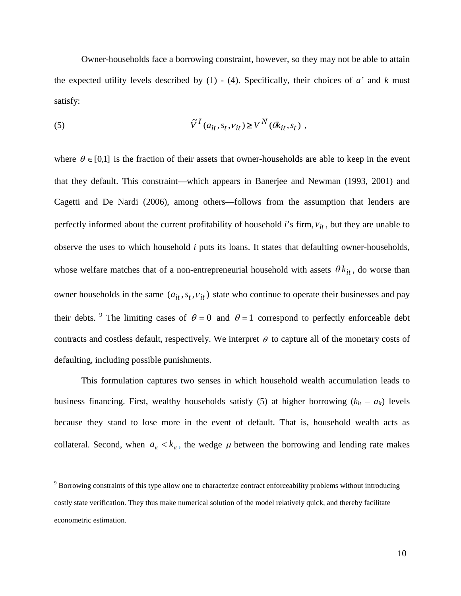Owner-households face a borrowing constraint, however, so they may not be able to attain the expected utility levels described by (1) - (4). Specifically, their choices of *a'* and *k* must satisfy:

(5) 
$$
\tilde{V}^I(a_{it}, s_t, v_{it}) \ge V^N(\theta k_{it}, s_t) ,
$$

where  $\theta \in [0,1]$  is the fraction of their assets that owner-households are able to keep in the event that they default. This constraint—which appears in Banerjee and Newman (1993, 2001) and Cagetti and De Nardi (2006), among others—follows from the assumption that lenders are perfectly informed about the current profitability of household *i*'s firm,  $v_{it}$ , but they are unable to observe the uses to which household *i* puts its loans. It states that defaulting owner-households, whose welfare matches that of a non-entrepreneurial household with assets  $\theta k_{it}$ , do worse than owner households in the same  $(a_{it}, s_t, v_{it})$  state who continue to operate their businesses and pay their debts. <sup>[9](#page-9-0)</sup> The limiting cases of  $\theta = 0$  and  $\theta = 1$  correspond to perfectly enforceable debt contracts and costless default, respectively. We interpret  $\theta$  to capture all of the monetary costs of defaulting, including possible punishments.

This formulation captures two senses in which household wealth accumulation leads to business financing. First, wealthy households satisfy (5) at higher borrowing  $(k<sub>it</sub> - a<sub>it</sub>)$  levels because they stand to lose more in the event of default. That is, household wealth acts as collateral. Second, when  $a_{it} < k_{it}$ , the wedge  $\mu$  between the borrowing and lending rate makes

<span id="page-9-0"></span> <sup>9</sup> Borrowing constraints of this type allow one to characterize contract enforceability problems without introducing costly state verification. They thus make numerical solution of the model relatively quick, and thereby facilitate econometric estimation.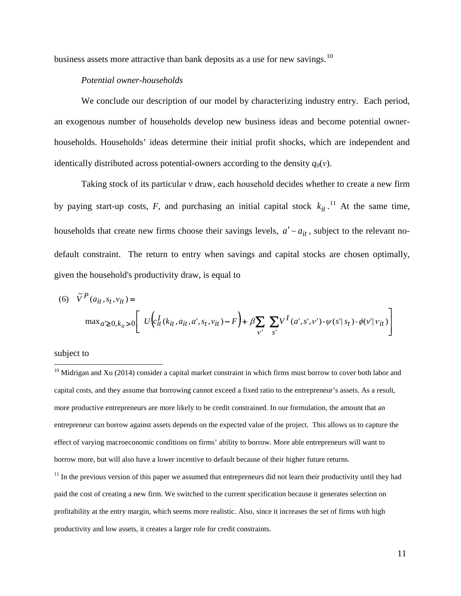business assets more attractive than bank deposits as a use for new savings.<sup>[10](#page-10-0)</sup>

## *Potential owner-households*

We conclude our description of our model by characterizing industry entry. Each period, an exogenous number of households develop new business ideas and become potential ownerhouseholds. Households' ideas determine their initial profit shocks, which are independent and identically distributed across potential-owners according to the density  $q_0(v)$ .

Taking stock of its particular ν draw, each household decides whether to create a new firm by paying start-up costs,  $F$ , and purchasing an initial capital stock  $k_{it}$ <sup>[11](#page-10-1)</sup>. At the same time, households that create new firms choose their savings levels,  $a' - a_{it}$ , subject to the relevant nodefault constraint. The return to entry when savings and capital stocks are chosen optimally, given the household's productivity draw, is equal to

(6) 
$$
\tilde{V}^P(a_{it}, s_t, v_{it}) =
$$
  
\n
$$
\max_{a' \ge 0, k_{it} > 0} \left[ U \left( c_{it}^I(k_{it}, a_{it}, a', s_t, v_{it}) - F \right) + \beta \sum_{v'} \sum_{s'} V^I(a', s', v') \cdot \psi(s' | s_t) \cdot \phi(v' | v_{it}) \right]
$$

## subject to

<span id="page-10-0"></span> $10$  Midrigan and Xu (2014) consider a capital market constraint in which firms must borrow to cover both labor and capital costs, and they assume that borrowing cannot exceed a fixed ratio to the entrepreneur's assets. As a result, more productive entrepreneurs are more likely to be credit constrained. In our formulation, the amount that an entrepreneur can borrow against assets depends on the expected value of the project. This allows us to capture the effect of varying macroeconomic conditions on firms' ability to borrow. More able entrepreneurs will want to borrow more, but will also have a lower incentive to default because of their higher future returns.

<span id="page-10-1"></span> $11$  In the previous version of this paper we assumed that entrepreneurs did not learn their productivity until they had paid the cost of creating a new firm. We switched to the current specification because it generates selection on profitability at the entry margin, which seems more realistic. Also, since it increases the set of firms with high productivity and low assets, it creates a larger role for credit constraints.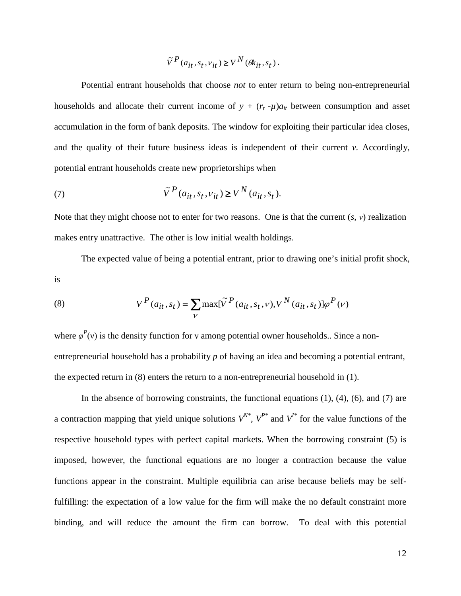$$
\tilde{V}^P(a_{it},s_t,v_{it})\!\geq\!V^N(\theta k_{it},s_t)\,.
$$

Potential entrant households that choose *not* to enter return to being non-entrepreneurial households and allocate their current income of  $y + (r_t - \mu)a_{it}$  between consumption and asset accumulation in the form of bank deposits. The window for exploiting their particular idea closes, and the quality of their future business ideas is independent of their current *ν*. Accordingly, potential entrant households create new proprietorships when

(7) 
$$
\tilde{V}^P(a_{it}, s_t, v_{it}) \ge V^N(a_{it}, s_t).
$$

Note that they might choose not to enter for two reasons. One is that the current (*s*, *ν*) realization makes entry unattractive. The other is low initial wealth holdings.

The expected value of being a potential entrant, prior to drawing one's initial profit shock, is

(8) 
$$
V^{P}(a_{it}, s_{t}) = \sum_{V} \max[\tilde{V}^{P}(a_{it}, s_{t}, v), V^{N}(a_{it}, s_{t})] \varphi^{P}(v)
$$

where  $\varphi^P(v)$  is the density function for v among potential owner households.. Since a nonentrepreneurial household has a probability *p* of having an idea and becoming a potential entrant, the expected return in (8) enters the return to a non-entrepreneurial household in (1).

In the absence of borrowing constraints, the functional equations  $(1)$ ,  $(4)$ ,  $(6)$ , and  $(7)$  are a contraction mapping that yield unique solutions  $V^{N^*}$ ,  $V^{P^*}$  and  $V^{I^*}$  for the value functions of the respective household types with perfect capital markets. When the borrowing constraint (5) is imposed, however, the functional equations are no longer a contraction because the value functions appear in the constraint. Multiple equilibria can arise because beliefs may be selffulfilling: the expectation of a low value for the firm will make the no default constraint more binding, and will reduce the amount the firm can borrow. To deal with this potential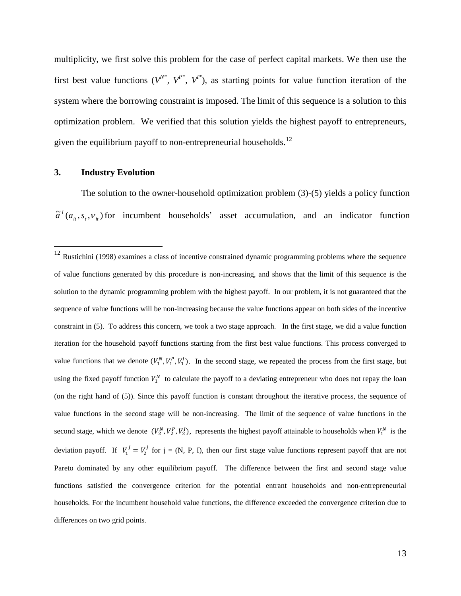multiplicity, we first solve this problem for the case of perfect capital markets. We then use the first best value functions  $(V^N, V^{P^*}, V^{I^*})$ , as starting points for value function iteration of the system where the borrowing constraint is imposed. The limit of this sequence is a solution to this optimization problem. We verified that this solution yields the highest payoff to entrepreneurs, given the equilibrium payoff to non-entrepreneurial households.<sup>[12](#page-12-0)</sup>

### **3. Industry Evolution**

The solution to the owner-household optimization problem (3)-(5) yields a policy function  $\tilde{a}^{t}(a_{it}, s_{t}, v_{it})$  for incumbent households' asset accumulation, and an indicator function

<span id="page-12-0"></span><sup>&</sup>lt;sup>12</sup> Rustichini (1998) examines a class of incentive constrained dynamic programming problems where the sequence of value functions generated by this procedure is non-increasing, and shows that the limit of this sequence is the solution to the dynamic programming problem with the highest payoff. In our problem, it is not guaranteed that the sequence of value functions will be non-increasing because the value functions appear on both sides of the incentive constraint in (5). To address this concern, we took a two stage approach. In the first stage, we did a value function iteration for the household payoff functions starting from the first best value functions. This process converged to value functions that we denote  $(V_1^N, V_1^P, V_1^I)$ . In the second stage, we repeated the process from the first stage, but using the fixed payoff function  $V_1^N$  to calculate the payoff to a deviating entrepreneur who does not repay the loan (on the right hand of (5)). Since this payoff function is constant throughout the iterative process, the sequence of value functions in the second stage will be non-increasing. The limit of the sequence of value functions in the second stage, which we denote  $(V_2^N, V_2^P, V_2^I)$ , represents the highest payoff attainable to households when  $V_1^N$  is the deviation payoff. If  $V_1' = V_2'$  for j = (N, P, I), then our first stage value functions represent payoff that are not Pareto dominated by any other equilibrium payoff. The difference between the first and second stage value functions satisfied the convergence criterion for the potential entrant households and non-entrepreneurial households. For the incumbent household value functions, the difference exceeded the convergence criterion due to differences on two grid points.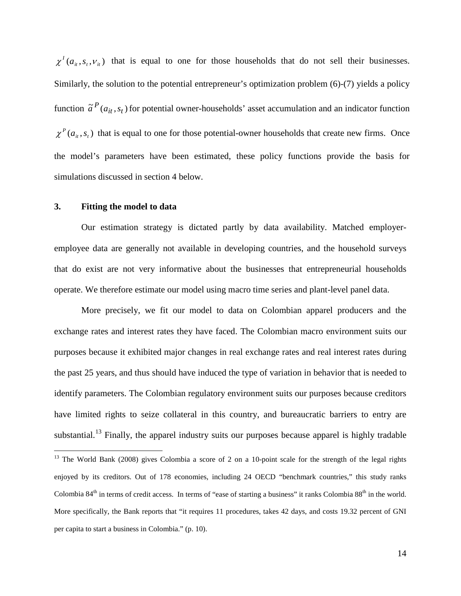$\chi^I(a_{i}, s_t, v_{i})$  that is equal to one for those households that do not sell their businesses. Similarly, the solution to the potential entrepreneur's optimization problem (6)-(7) yields a policy function  $\tilde{a}^{P}(a_{it}, s_{t})$  for potential owner-households' asset accumulation and an indicator function  $\chi^P(a_i, s_i)$  that is equal to one for those potential-owner households that create new firms. Once the model's parameters have been estimated, these policy functions provide the basis for simulations discussed in section 4 below.

## **3. Fitting the model to data**

Our estimation strategy is dictated partly by data availability. Matched employeremployee data are generally not available in developing countries, and the household surveys that do exist are not very informative about the businesses that entrepreneurial households operate. We therefore estimate our model using macro time series and plant-level panel data.

More precisely, we fit our model to data on Colombian apparel producers and the exchange rates and interest rates they have faced. The Colombian macro environment suits our purposes because it exhibited major changes in real exchange rates and real interest rates during the past 25 years, and thus should have induced the type of variation in behavior that is needed to identify parameters. The Colombian regulatory environment suits our purposes because creditors have limited rights to seize collateral in this country, and bureaucratic barriers to entry are substantial.<sup>[13](#page-13-0)</sup> Finally, the apparel industry suits our purposes because apparel is highly tradable

<span id="page-13-0"></span><sup>&</sup>lt;sup>13</sup> The World Bank (2008) gives Colombia a score of 2 on a 10-point scale for the strength of the legal rights enjoyed by its creditors. Out of 178 economies, including 24 OECD "benchmark countries," this study ranks Colombia  $84<sup>th</sup>$  in terms of credit access. In terms of "ease of starting a business" it ranks Colombia  $88<sup>th</sup>$  in the world. More specifically, the Bank reports that "it requires 11 procedures, takes 42 days, and costs 19.32 percent of GNI per capita to start a business in Colombia." (p. 10).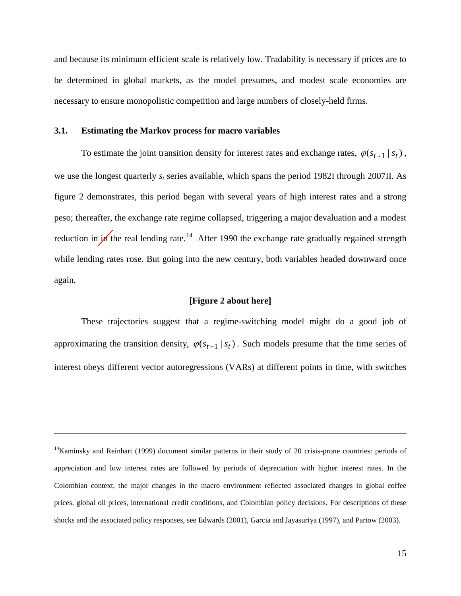and because its minimum efficient scale is relatively low. Tradability is necessary if prices are to be determined in global markets, as the model presumes, and modest scale economies are necessary to ensure monopolistic competition and large numbers of closely-held firms.

### **3.1. Estimating the Markov process for macro variables**

 $\overline{a}$ 

To estimate the joint transition density for interest rates and exchange rates,  $\varphi(s_{t+1} | s_t)$ , we use the longest quarterly *st* series available, which spans the period 1982I through 2007II. As figure 2 demonstrates, this period began with several years of high interest rates and a strong peso; thereafter, the exchange rate regime collapsed, triggering a major devaluation and a modest reduction in  $\mu$  the real lending rate.<sup>[14](#page-14-0)</sup> After 1990 the exchange rate gradually regained strength while lending rates rose. But going into the new century, both variables headed downward once again.

## **[Figure 2 about here]**

These trajectories suggest that a regime-switching model might do a good job of approximating the transition density,  $\varphi(s_{t+1} | s_t)$ . Such models presume that the time series of interest obeys different vector autoregressions (VARs) at different points in time, with switches

<span id="page-14-0"></span><sup>&</sup>lt;sup>14</sup>Kaminsky and Reinhart (1999) document similar patterns in their study of 20 crisis-prone countries: periods of appreciation and low interest rates are followed by periods of depreciation with higher interest rates. In the Colombian context, the major changes in the macro environment reflected associated changes in global coffee prices, global oil prices, international credit conditions, and Colombian policy decisions. For descriptions of these shocks and the associated policy responses, see Edwards (2001), Garcia and Jayasuriya (1997), and Partow (2003).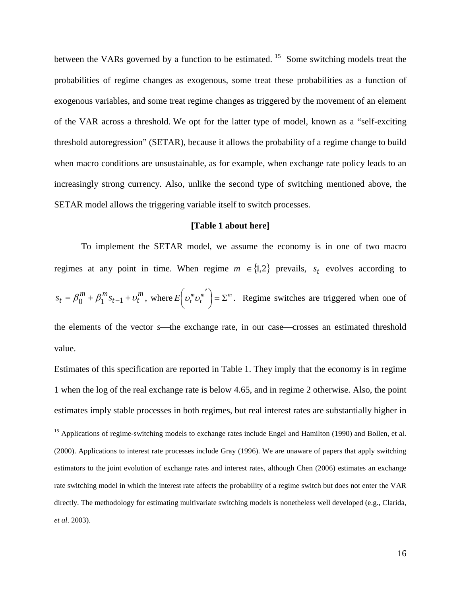between the VARs governed by a function to be estimated. <sup>[15](#page-15-0)</sup> Some switching models treat the probabilities of regime changes as exogenous, some treat these probabilities as a function of exogenous variables, and some treat regime changes as triggered by the movement of an element of the VAR across a threshold. We opt for the latter type of model, known as a "self-exciting threshold autoregression" (SETAR), because it allows the probability of a regime change to build when macro conditions are unsustainable, as for example, when exchange rate policy leads to an increasingly strong currency. Also, unlike the second type of switching mentioned above, the SETAR model allows the triggering variable itself to switch processes.

#### **[Table 1 about here]**

To implement the SETAR model, we assume the economy is in one of two macro regimes at any point in time. When regime  $m \in \{1,2\}$  prevails,  $s_t$  evolves according to *m*  $_{t-1} + o_t$  $s_t = \beta_0^m + \beta_1^m s_{t-1} + \nu_t^m$ , where  $E\left(\nu_t^m \nu_t^m\right) = \Sigma^m$  $\left(v_i^m v_i^{m'}\right) = \Sigma^m$ . Regime switches are triggered when one of the elements of the vector *s*—the exchange rate, in our case—crosses an estimated threshold value.

Estimates of this specification are reported in Table 1. They imply that the economy is in regime 1 when the log of the real exchange rate is below 4.65, and in regime 2 otherwise. Also, the point estimates imply stable processes in both regimes, but real interest rates are substantially higher in

<span id="page-15-0"></span><sup>&</sup>lt;sup>15</sup> Applications of regime-switching models to exchange rates include Engel and Hamilton (1990) and Bollen, et al. (2000). Applications to interest rate processes include Gray (1996). We are unaware of papers that apply switching estimators to the joint evolution of exchange rates and interest rates, although Chen (2006) estimates an exchange rate switching model in which the interest rate affects the probability of a regime switch but does not enter the VAR directly. The methodology for estimating multivariate switching models is nonetheless well developed (e.g., Clarida, *et al*. 2003).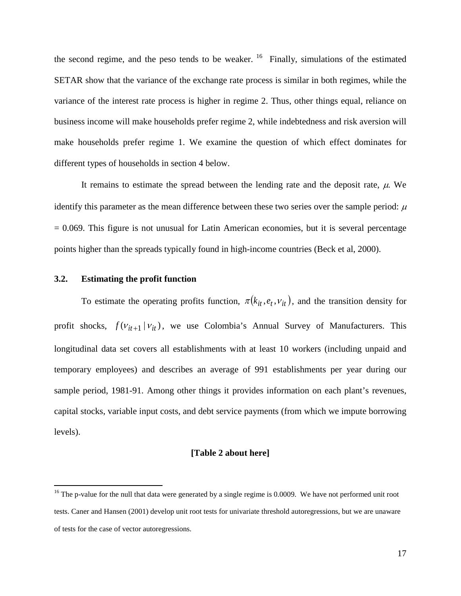the second regime, and the peso tends to be weaker.  $16$  Finally, simulations of the estimated SETAR show that the variance of the exchange rate process is similar in both regimes, while the variance of the interest rate process is higher in regime 2. Thus, other things equal, reliance on business income will make households prefer regime 2, while indebtedness and risk aversion will make households prefer regime 1. We examine the question of which effect dominates for different types of households in section 4 below.

It remains to estimate the spread between the lending rate and the deposit rate,  $\mu$ . We identify this parameter as the mean difference between these two series over the sample period:  $\mu$  $= 0.069$ . This figure is not unusual for Latin American economies, but it is several percentage points higher than the spreads typically found in high-income countries (Beck et al, 2000).

## **3.2. Estimating the profit function**

To estimate the operating profits function,  $\pi ( k_{it}, e_t, v_{it} )$ , and the transition density for profit shocks,  $f(v_{it+1} | v_{it})$ , we use Colombia's Annual Survey of Manufacturers. This longitudinal data set covers all establishments with at least 10 workers (including unpaid and temporary employees) and describes an average of 991 establishments per year during our sample period, 1981-91. Among other things it provides information on each plant's revenues, capital stocks, variable input costs, and debt service payments (from which we impute borrowing levels).

## **[Table 2 about here]**

<span id="page-16-0"></span><sup>&</sup>lt;sup>16</sup> The p-value for the null that data were generated by a single regime is 0.0009. We have not performed unit root tests. Caner and Hansen (2001) develop unit root tests for univariate threshold autoregressions, but we are unaware of tests for the case of vector autoregressions.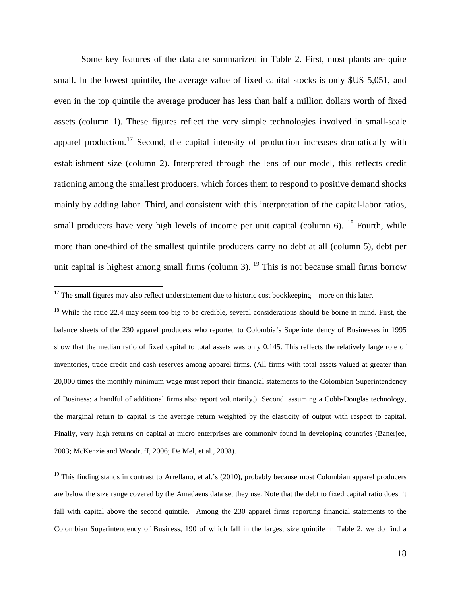Some key features of the data are summarized in Table 2. First, most plants are quite small. In the lowest quintile, the average value of fixed capital stocks is only \$US 5,051, and even in the top quintile the average producer has less than half a million dollars worth of fixed assets (column 1). These figures reflect the very simple technologies involved in small-scale apparel production.<sup>[17](#page-17-0)</sup> Second, the capital intensity of production increases dramatically with establishment size (column 2). Interpreted through the lens of our model, this reflects credit rationing among the smallest producers, which forces them to respond to positive demand shocks mainly by adding labor. Third, and consistent with this interpretation of the capital-labor ratios, small producers have very high levels of income per unit capital (column  $6$ ). <sup>[18](#page-17-1)</sup> Fourth, while more than one-third of the smallest quintile producers carry no debt at all (column 5), debt per unit capital is highest among small firms (column 3). <sup>[19](#page-17-2)</sup> This is not because small firms borrow

<span id="page-17-1"></span><sup>18</sup> While the ratio 22.4 may seem too big to be credible, several considerations should be borne in mind. First, the balance sheets of the 230 apparel producers who reported to Colombia's Superintendency of Businesses in 1995 show that the median ratio of fixed capital to total assets was only 0.145. This reflects the relatively large role of inventories, trade credit and cash reserves among apparel firms. (All firms with total assets valued at greater than 20,000 times the monthly minimum wage must report their financial statements to the Colombian Superintendency of Business; a handful of additional firms also report voluntarily.) Second, assuming a Cobb-Douglas technology, the marginal return to capital is the average return weighted by the elasticity of output with respect to capital. Finally, very high returns on capital at micro enterprises are commonly found in developing countries (Banerjee, 2003; McKenzie and Woodruff, 2006; De Mel, et al., 2008).

<span id="page-17-2"></span> $19$  This finding stands in contrast to Arrellano, et al.'s (2010), probably because most Colombian apparel producers are below the size range covered by the Amadaeus data set they use. Note that the debt to fixed capital ratio doesn't fall with capital above the second quintile. Among the 230 apparel firms reporting financial statements to the Colombian Superintendency of Business, 190 of which fall in the largest size quintile in Table 2, we do find a

<span id="page-17-0"></span><sup>&</sup>lt;sup>17</sup> The small figures may also reflect understatement due to historic cost bookkeeping—more on this later.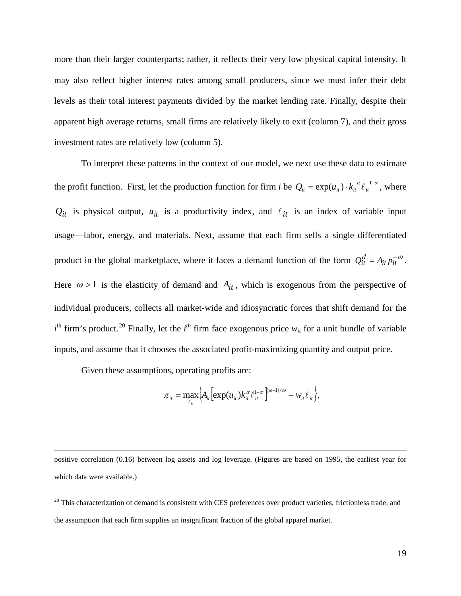more than their larger counterparts; rather, it reflects their very low physical capital intensity. It may also reflect higher interest rates among small producers, since we must infer their debt levels as their total interest payments divided by the market lending rate. Finally, despite their apparent high average returns, small firms are relatively likely to exit (column 7), and their gross investment rates are relatively low (column 5).

To interpret these patterns in the context of our model, we next use these data to estimate the profit function. First, let the production function for firm *i* be  $Q_i = \exp(u_i) \cdot k_i^{a} \ell_i^{1-a}$ , where  $Q_{it}$  is physical output,  $u_{it}$  is a productivity index, and  $\ell_{it}$  is an index of variable input usage—labor, energy, and materials. Next, assume that each firm sells a single differentiated product in the global marketplace, where it faces a demand function of the form  $Q_{it}^d = A_{it} p_{it}^{-\omega}$ . Here  $\omega > 1$  is the elasticity of demand and  $A_{it}$ , which is exogenous from the perspective of individual producers, collects all market-wide and idiosyncratic forces that shift demand for the  $i<sup>th</sup>$  firm's product.<sup>[20](#page-18-0)</sup> Finally, let the  $i<sup>th</sup>$  firm face exogenous price  $w_{it}$  for a unit bundle of variable inputs, and assume that it chooses the associated profit-maximizing quantity and output price.

Given these assumptions, operating profits are:

 $\overline{a}$ 

$$
\pi_{it} = \max_{\ell_{it}} \Big\{ A_{it} \Big[ \exp(u_{it}) k_{it}^{\alpha} \ell_{it}^{1-\alpha} \Big]^{(\omega-1)/\omega} - w_{it} \ell_{it} \Big\},\,
$$

positive correlation (0.16) between log assets and log leverage. (Figures are based on 1995, the earliest year for which data were available.)

<span id="page-18-0"></span> $20$  This characterization of demand is consistent with CES preferences over product varieties, frictionless trade, and the assumption that each firm supplies an insignificant fraction of the global apparel market.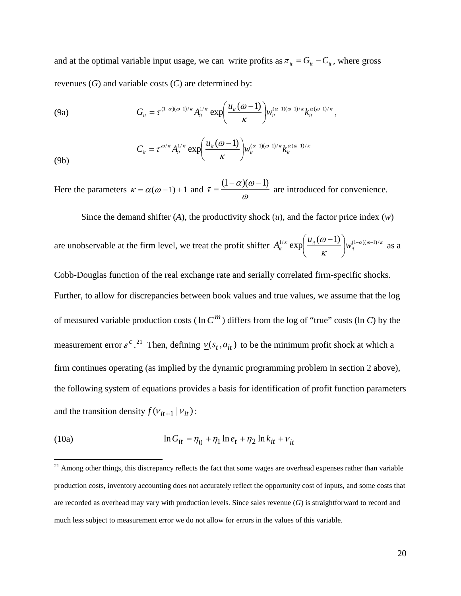and at the optimal variable input usage, we can write profits as  $\pi_{it} = G_{it} - C_{it}$ , where gross revenues (*G*) and variable costs (*C*) are determined by:

(9a) 
$$
G_{it} = \tau^{(1-\alpha)(\omega-1)/\kappa} A_{it}^{1/\kappa} \exp\left(\frac{u_{it}(\omega-1)}{\kappa}\right) w_{it}^{(\alpha-1)(\omega-1)/\kappa} k_{it}^{\alpha(\omega-1)/\kappa},
$$

(9b) 
$$
C_{it} = \tau^{\omega/\kappa} A_{it}^{1/\kappa} \exp\left(\frac{u_{it}(\omega - 1)}{\kappa}\right) w_{it}^{(\alpha - 1)(\omega - 1)/\kappa} k_{it}^{\alpha(\omega - 1)/\kappa}
$$

Here the parameters  $\kappa = \alpha(\omega - 1) + 1$  and  $\tau = \frac{(1 - \omega)}{\omega}$  $\tau = \frac{(1-\alpha)(\omega-1)}{n}$  are introduced for convenience.

Since the demand shifter (*A*), the productivity shock (*u*), and the factor price index (*w*) are unobservable at the firm level, we treat the profit shifter  $A_{it}^{1/\kappa} \exp\left(\frac{u_{it}(\omega-1)}{\kappa}\right) w_{it}^{(1-\alpha)(\omega-1)/\kappa}$ J  $\left(\frac{u_{it}(\omega-1)}{2}\right)$  $\setminus$  $\int u_{it}(\omega A_{it}^{1/\kappa}$  exp $\left( \frac{u_{it}(\omega - 1)}{u_{it}(\omega)} \right) w_{it}^{(1-\alpha)(\omega - 1)/\kappa}$  as a Cobb-Douglas function of the real exchange rate and serially correlated firm-specific shocks. Further, to allow for discrepancies between book values and true values, we assume that the log of measured variable production costs ( $\ln C^m$ ) differs from the log of "true" costs ( $\ln C$ ) by the measurement error  $\varepsilon^c$ .<sup>[21](#page-19-0)</sup> Then, defining  $\underline{v}(s_t, a_{it})$  to be the minimum profit shock at which a firm continues operating (as implied by the dynamic programming problem in section 2 above), the following system of equations provides a basis for identification of profit function parameters and the transition density  $f(v_{it+1} | v_{it})$ :

(10a) 
$$
\ln G_{it} = \eta_0 + \eta_1 \ln e_t + \eta_2 \ln k_{it} + v_{it}
$$

<span id="page-19-0"></span> $21$  Among other things, this discrepancy reflects the fact that some wages are overhead expenses rather than variable production costs, inventory accounting does not accurately reflect the opportunity cost of inputs, and some costs that are recorded as overhead may vary with production levels. Since sales revenue (*G*) is straightforward to record and much less subject to measurement error we do not allow for errors in the values of this variable.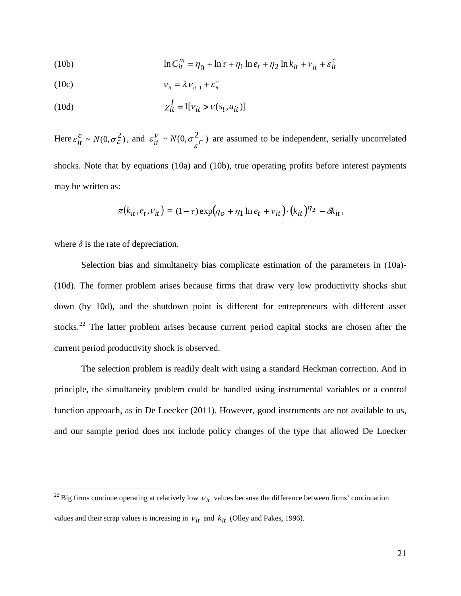(10b) 
$$
\ln C_{it}^{m} = \eta_0 + \ln \tau + \eta_1 \ln e_t + \eta_2 \ln k_{it} + v_{it} + \varepsilon_{it}^{c}
$$

$$
V_{it} = \lambda V_{it-1} + \varepsilon_{it}^{\nu}
$$

(10d) 
$$
\chi_{it}^I = 1[v_{it} > \underline{v}(s_t, a_{it})]
$$

Here  $\varepsilon_{it}^c \sim N(0, \sigma_{\varepsilon}^2)$ , and  $\varepsilon_{it}^V \sim N(0, \sigma_{\varepsilon}^2 c)$  are assumed to be independent, serially uncorrelated shocks. Note that by equations (10a) and (10b), true operating profits before interest payments may be written as:

$$
\pi(k_{it}, e_t, v_{it}) = (1-\tau) \exp(\eta_O + \eta_1 \ln e_t + v_{it}) \cdot (k_{it})^{\eta_2} - \delta k_{it},
$$

where  $\delta$  is the rate of depreciation.

Selection bias and simultaneity bias complicate estimation of the parameters in (10a)- (10d). The former problem arises because firms that draw very low productivity shocks shut down (by 10d), and the shutdown point is different for entrepreneurs with different asset stocks.<sup>[22](#page-20-0)</sup> The latter problem arises because current period capital stocks are chosen after the current period productivity shock is observed.

The selection problem is readily dealt with using a standard Heckman correction. And in principle, the simultaneity problem could be handled using instrumental variables or a control function approach, as in De Loecker (2011). However, good instruments are not available to us, and our sample period does not include policy changes of the type that allowed De Loecker

<span id="page-20-0"></span><sup>&</sup>lt;sup>22</sup> Big firms continue operating at relatively low  $v_{it}$  values because the difference between firms' continuation values and their scrap values is increasing in  $v_{it}$  and  $k_{it}$  (Olley and Pakes, 1996).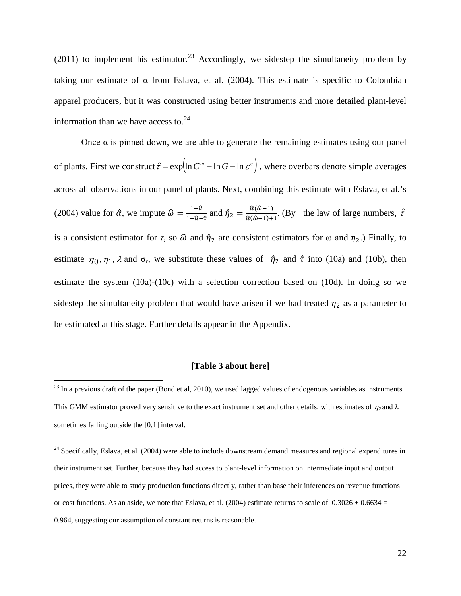$(2011)$  to implement his estimator.<sup>[23](#page-21-0)</sup> Accordingly, we sidestep the simultaneity problem by taking our estimate of  $\alpha$  from Eslava, et al. (2004). This estimate is specific to Colombian apparel producers, but it was constructed using better instruments and more detailed plant-level information than we have access to. $24$ 

Once  $α$  is pinned down, we are able to generate the remaining estimates using our panel of plants. First we construct  $\hat{\tau} = \exp \left( \ln C^m - \ln G - \ln \varepsilon^c \right)$ , where overbars denote simple averages across all observations in our panel of plants. Next, combining this estimate with Eslava, et al.'s (2004) value for  $\hat{\alpha}$ , we impute  $\hat{\omega} = \frac{1-\hat{\alpha}}{1-\hat{\alpha}-\hat{\tau}}$  and  $\hat{\eta}_2 = \frac{\hat{\alpha}(\hat{\omega}-1)}{\hat{\alpha}(\hat{\omega}-1)+1}$ . (By the law of large numbers,  $\hat{\tau}$ ) is a consistent estimator for  $\tau$ , so  $\hat{\omega}$  and  $\hat{\eta}_2$  are consistent estimators for  $\omega$  and  $\eta_2$ .) Finally, to estimate  $\eta_0, \eta_1, \lambda$  and  $\sigma_{\epsilon}$ , we substitute these values of  $\hat{\eta}_2$  and  $\hat{\tau}$  into (10a) and (10b), then estimate the system (10a)-(10c) with a selection correction based on (10d). In doing so we sidestep the simultaneity problem that would have arisen if we had treated  $\eta_2$  as a parameter to be estimated at this stage. Further details appear in the Appendix.

## **[Table 3 about here]**

<span id="page-21-0"></span> $23$  In a previous draft of the paper (Bond et al, 2010), we used lagged values of endogenous variables as instruments. This GMM estimator proved very sensitive to the exact instrument set and other details, with estimates of  $\eta_2$  and  $\lambda$ sometimes falling outside the [0,1] interval.

<span id="page-21-1"></span> $24$  Specifically, Eslava, et al. (2004) were able to include downstream demand measures and regional expenditures in their instrument set. Further, because they had access to plant-level information on intermediate input and output prices, they were able to study production functions directly, rather than base their inferences on revenue functions or cost functions. As an aside, we note that Eslava, et al. (2004) estimate returns to scale of  $0.3026 + 0.6634 =$ 0.964, suggesting our assumption of constant returns is reasonable.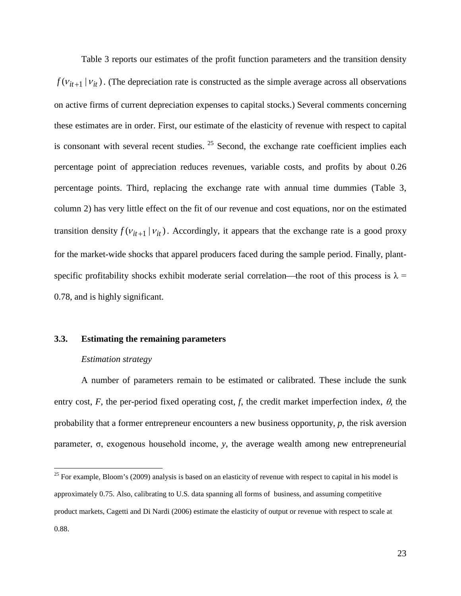Table 3 reports our estimates of the profit function parameters and the transition density  $f(v_{it+1} | v_{it})$ . (The depreciation rate is constructed as the simple average across all observations on active firms of current depreciation expenses to capital stocks.) Several comments concerning these estimates are in order. First, our estimate of the elasticity of revenue with respect to capital is consonant with several recent studies.  $25$  Second, the exchange rate coefficient implies each percentage point of appreciation reduces revenues, variable costs, and profits by about 0.26 percentage points. Third, replacing the exchange rate with annual time dummies (Table 3, column 2) has very little effect on the fit of our revenue and cost equations, nor on the estimated transition density  $f(v_{it+1} | v_{it})$ . Accordingly, it appears that the exchange rate is a good proxy for the market-wide shocks that apparel producers faced during the sample period. Finally, plantspecific profitability shocks exhibit moderate serial correlation—the root of this process is  $\lambda$  = 0.78, and is highly significant.

### **3.3. Estimating the remaining parameters**

### *Estimation strategy*

A number of parameters remain to be estimated or calibrated. These include the sunk entry cost, *F*, the per-period fixed operating cost, *f*, the credit market imperfection index,  $\theta$ , the probability that a former entrepreneur encounters a new business opportunity, *p*, the risk aversion parameter, σ, exogenous household income, *y*, the average wealth among new entrepreneurial

<span id="page-22-0"></span> $25$  For example, Bloom's (2009) analysis is based on an elasticity of revenue with respect to capital in his model is approximately 0.75. Also, calibrating to U.S. data spanning all forms of business, and assuming competitive product markets, Cagetti and Di Nardi (2006) estimate the elasticity of output or revenue with respect to scale at 0.88.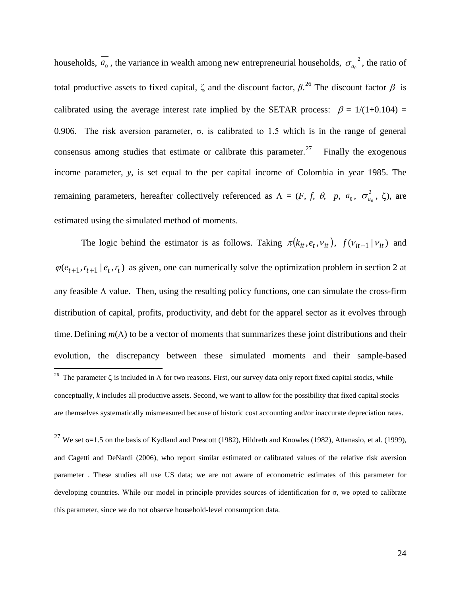households,  $\overline{a_0}$ , the variance in wealth among new entrepreneurial households,  $\sigma_{a_0}^2$ , the ratio of total productive assets to fixed capital,  $\zeta$  and the discount factor,  $\beta$ .<sup>[26](#page-23-0)</sup> The discount factor  $\beta$  is calibrated using the average interest rate implied by the SETAR process:  $\beta = 1/(1+0.104)$  = 0.906. The risk aversion parameter,  $\sigma$ , is calibrated to 1.5 which is in the range of general consensus among studies that estimate or calibrate this parameter.<sup>[27](#page-23-1)</sup> Finally the exogenous income parameter, *y*, is set equal to the per capital income of Colombia in year 1985. The remaining parameters, hereafter collectively referenced as  $\Lambda = (F, f, \theta, p, a_0, \sigma_{a_0}^2, \zeta)$ , are estimated using the simulated method of moments.

The logic behind the estimator is as follows. Taking  $\pi(k_{it}, e_t, v_{it})$ ,  $f(v_{it+1} | v_{it})$  and  $\varphi(e_{t+1}, r_{t+1} | e_t, r_t)$  as given, one can numerically solve the optimization problem in section 2 at any feasible  $\Lambda$  value. Then, using the resulting policy functions, one can simulate the cross-firm distribution of capital, profits, productivity, and debt for the apparel sector as it evolves through time. Defining *m*(Λ) to be a vector of moments that summarizes these joint distributions and their evolution, the discrepancy between these simulated moments and their sample-based <sup>26</sup> The parameter  $\zeta$  is included in  $\Lambda$  for two reasons. First, our survey data only report fixed capital stocks, while conceptually, *k* includes all productive assets. Second, we want to allow for the possibility that fixed capital stocks are themselves systematically mismeasured because of historic cost accounting and/or inaccurate depreciation rates.

<span id="page-23-1"></span><span id="page-23-0"></span><sup>27</sup> We set  $\sigma$ =1.5 on the basis of Kydland and Prescott (1982), Hildreth and Knowles (1982), Attanasio, et al. (1999), and Cagetti and DeNardi (2006), who report similar estimated or calibrated values of the relative risk aversion parameter . These studies all use US data; we are not aware of econometric estimates of this parameter for developing countries. While our model in principle provides sources of identification for σ, we opted to calibrate this parameter, since we do not observe household-level consumption data.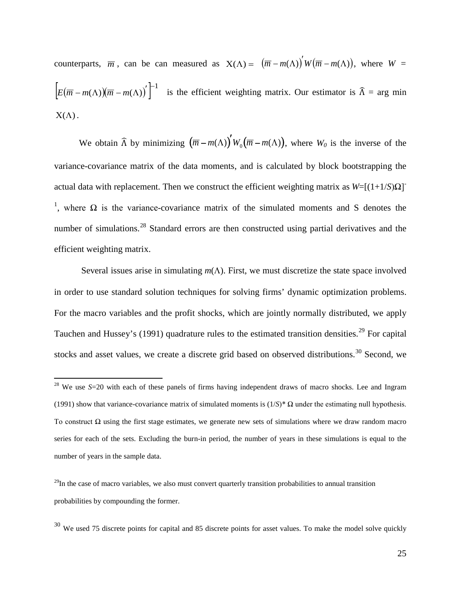counterparts,  $\overline{m}$ , can be can measured as  $X(\Lambda) = (\overline{m} - m(\Lambda))' W(\overline{m} - m(\Lambda))$ , where  $W =$  $\left[ E(\overline{m} - m(\Lambda))(\overline{m} - m(\Lambda))' \right]^{-1}$  is the efficient weighting matrix. Our estimator is  $\widehat{\Lambda} = \arg \min$  $X(\Lambda)$ .

We obtain  $\widehat{\Lambda}$  by minimizing  $(\overline{m} - m(\Lambda))' W_0 (\overline{m} - m(\Lambda))$ , where  $W_0$  is the inverse of the variance-covariance matrix of the data moments, and is calculated by block bootstrapping the actual data with replacement. Then we construct the efficient weighting matrix as  $W=[(1+1/S)Ω]$ <sup>-</sup> <sup>1</sup>, where Ω is the variance-covariance matrix of the simulated moments and S denotes the number of simulations.<sup>[28](#page-24-0)</sup> Standard errors are then constructed using partial derivatives and the efficient weighting matrix.

Several issues arise in simulating *m*(Λ). First, we must discretize the state space involved in order to use standard solution techniques for solving firms' dynamic optimization problems. For the macro variables and the profit shocks, which are jointly normally distributed, we apply Tauchen and Hussey's (1991) quadrature rules to the estimated transition densities.<sup>[29](#page-24-1)</sup> For capital stocks and asset values, we create a discrete grid based on observed distributions.<sup>[30](#page-24-2)</sup> Second, we

<span id="page-24-0"></span><sup>&</sup>lt;sup>28</sup> We use *S*=20 with each of these panels of firms having independent draws of macro shocks. Lee and Ingram (1991) show that variance-covariance matrix of simulated moments is  $(1/S)^* \Omega$  under the estimating null hypothesis. To construct  $\Omega$  using the first stage estimates, we generate new sets of simulations where we draw random macro series for each of the sets. Excluding the burn-in period, the number of years in these simulations is equal to the number of years in the sample data.

<span id="page-24-1"></span> $^{29}$ In the case of macro variables, we also must convert quarterly transition probabilities to annual transition probabilities by compounding the former.

<span id="page-24-2"></span> $30$  We used 75 discrete points for capital and 85 discrete points for asset values. To make the model solve quickly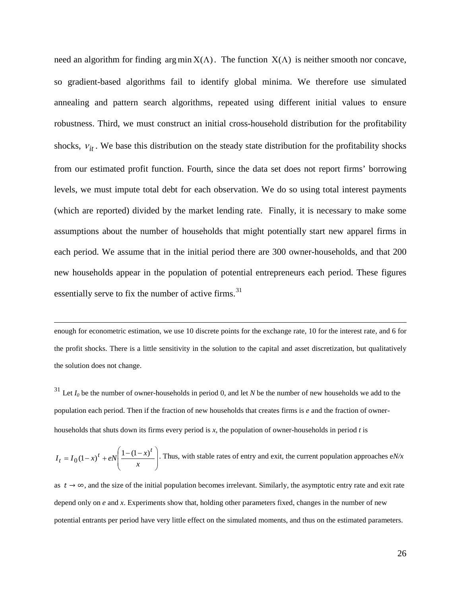need an algorithm for finding  $\arg \min X(\Lambda)$ . The function  $X(\Lambda)$  is neither smooth nor concave, so gradient-based algorithms fail to identify global minima. We therefore use simulated annealing and pattern search algorithms, repeated using different initial values to ensure robustness. Third, we must construct an initial cross-household distribution for the profitability shocks,  $v_{it}$ . We base this distribution on the steady state distribution for the profitability shocks from our estimated profit function. Fourth, since the data set does not report firms' borrowing levels, we must impute total debt for each observation. We do so using total interest payments (which are reported) divided by the market lending rate. Finally, it is necessary to make some assumptions about the number of households that might potentially start new apparel firms in each period. We assume that in the initial period there are 300 owner-households, and that 200 new households appear in the population of potential entrepreneurs each period. These figures essentially serve to fix the number of active firms. $31$ 

enough for econometric estimation, we use 10 discrete points for the exchange rate, 10 for the interest rate, and 6 for the profit shocks. There is a little sensitivity in the solution to the capital and asset discretization, but qualitatively the solution does not change.

 $\overline{a}$ 

<span id="page-25-0"></span> $31$  Let  $I_0$  be the number of owner-households in period 0, and let N be the number of new households we add to the population each period. Then if the fraction of new households that creates firms is *e* and the fraction of ownerhouseholds that shuts down its firms every period is *x*, the population of owner-households in period *t* is

$$
I_t = I_0 (1 - x)^t + eN \left( \frac{1 - (1 - x)^t}{x} \right).
$$
 Thus, with stable rates of entry and exit, the current population approaches eN/x

as  $t \to \infty$ , and the size of the initial population becomes irrelevant. Similarly, the asymptotic entry rate and exit rate depend only on *e* and *x*. Experiments show that, holding other parameters fixed, changes in the number of new potential entrants per period have very little effect on the simulated moments, and thus on the estimated parameters.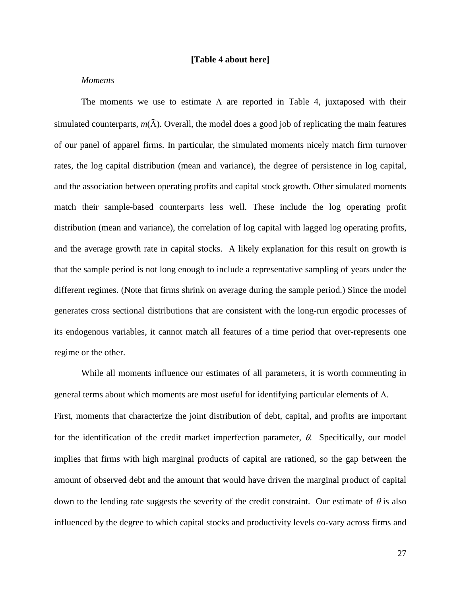## **[Table 4 about here]**

### *Moments*

The moments we use to estimate  $\Lambda$  are reported in Table 4, juxtaposed with their simulated counterparts,  $m(\hat{\Lambda})$ . Overall, the model does a good job of replicating the main features of our panel of apparel firms. In particular, the simulated moments nicely match firm turnover rates, the log capital distribution (mean and variance), the degree of persistence in log capital, and the association between operating profits and capital stock growth. Other simulated moments match their sample-based counterparts less well. These include the log operating profit distribution (mean and variance), the correlation of log capital with lagged log operating profits, and the average growth rate in capital stocks. A likely explanation for this result on growth is that the sample period is not long enough to include a representative sampling of years under the different regimes. (Note that firms shrink on average during the sample period.) Since the model generates cross sectional distributions that are consistent with the long-run ergodic processes of its endogenous variables, it cannot match all features of a time period that over-represents one regime or the other.

While all moments influence our estimates of all parameters, it is worth commenting in general terms about which moments are most useful for identifying particular elements of Λ. First, moments that characterize the joint distribution of debt, capital, and profits are important for the identification of the credit market imperfection parameter,  $\theta$ . Specifically, our model implies that firms with high marginal products of capital are rationed, so the gap between the amount of observed debt and the amount that would have driven the marginal product of capital down to the lending rate suggests the severity of the credit constraint. Our estimate of  $\theta$  is also influenced by the degree to which capital stocks and productivity levels co-vary across firms and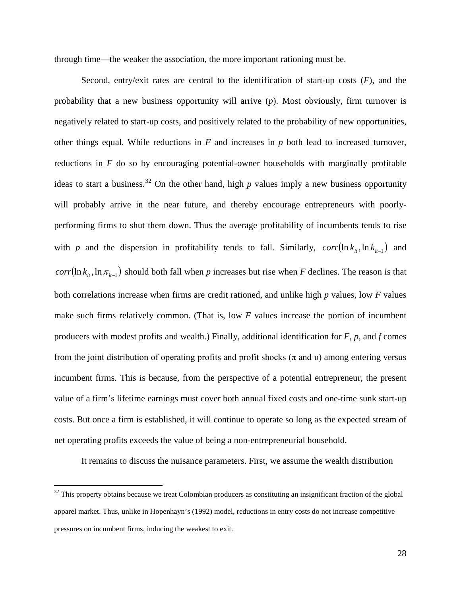through time—the weaker the association, the more important rationing must be.

Second, entry/exit rates are central to the identification of start-up costs (*F*), and the probability that a new business opportunity will arrive (*p*). Most obviously, firm turnover is negatively related to start-up costs, and positively related to the probability of new opportunities, other things equal. While reductions in *F* and increases in *p* both lead to increased turnover, reductions in *F* do so by encouraging potential-owner households with marginally profitable ideas to start a business. [32](#page-27-0) On the other hand, high *p* values imply a new business opportunity will probably arrive in the near future, and thereby encourage entrepreneurs with poorlyperforming firms to shut them down. Thus the average profitability of incumbents tends to rise with *p* and the dispersion in profitability tends to fall. Similarly,  $corr(\ln k_{i}^{\text{th}}, \ln k_{i}^{\text{th}})$  and  $corr(\ln k_{ii}, \ln \pi_{ii-1})$  should both fall when *p* increases but rise when *F* declines. The reason is that both correlations increase when firms are credit rationed, and unlike high *p* values, low *F* values make such firms relatively common. (That is, low *F* values increase the portion of incumbent producers with modest profits and wealth.) Finally, additional identification for *F*, *p*, and *f* comes from the joint distribution of operating profits and profit shocks ( $\pi$  and  $\nu$ ) among entering versus incumbent firms. This is because, from the perspective of a potential entrepreneur, the present value of a firm's lifetime earnings must cover both annual fixed costs and one-time sunk start-up costs. But once a firm is established, it will continue to operate so long as the expected stream of net operating profits exceeds the value of being a non-entrepreneurial household.

It remains to discuss the nuisance parameters. First, we assume the wealth distribution

<span id="page-27-0"></span> $32$  This property obtains because we treat Colombian producers as constituting an insignificant fraction of the global apparel market. Thus, unlike in Hopenhayn's (1992) model, reductions in entry costs do not increase competitive pressures on incumbent firms, inducing the weakest to exit.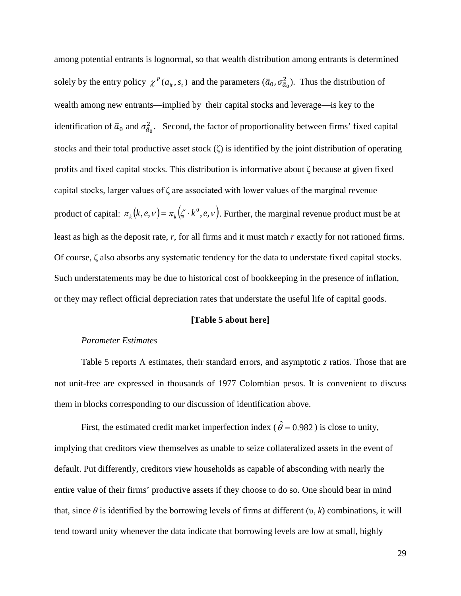among potential entrants is lognormal, so that wealth distribution among entrants is determined solely by the entry policy  $\chi^P(a_{it}, s_t)$  and the parameters  $(\bar{a}_0, \sigma_{\bar{a}_0}^2)$ . Thus the distribution of wealth among new entrants—implied by their capital stocks and leverage—is key to the identification of  $\bar{a}_0$  and  $\sigma_{\bar{a}_0}^2$ . Second, the factor of proportionality between firms' fixed capital stocks and their total productive asset stock (ζ) is identified by the joint distribution of operating profits and fixed capital stocks. This distribution is informative about ζ because at given fixed capital stocks, larger values of ζ are associated with lower values of the marginal revenue product of capital:  $\pi_k(k, e, v) = \pi_k(\zeta \cdot k^0, e, v)$ . Further, the marginal revenue product must be at least as high as the deposit rate, *r*, for all firms and it must match *r* exactly for not rationed firms. Of course, ζ also absorbs any systematic tendency for the data to understate fixed capital stocks. Such understatements may be due to historical cost of bookkeeping in the presence of inflation, or they may reflect official depreciation rates that understate the useful life of capital goods.

## **[Table 5 about here]**

### *Parameter Estimates*

Table 5 reports Λ estimates, their standard errors, and asymptotic *z* ratios. Those that are not unit-free are expressed in thousands of 1977 Colombian pesos. It is convenient to discuss them in blocks corresponding to our discussion of identification above.

First, the estimated credit market imperfection index ( $\hat{\theta} = 0.982$ ) is close to unity, implying that creditors view themselves as unable to seize collateralized assets in the event of default. Put differently, creditors view households as capable of absconding with nearly the entire value of their firms' productive assets if they choose to do so. One should bear in mind that, since  $\theta$  is identified by the borrowing levels of firms at different  $(v, k)$  combinations, it will tend toward unity whenever the data indicate that borrowing levels are low at small, highly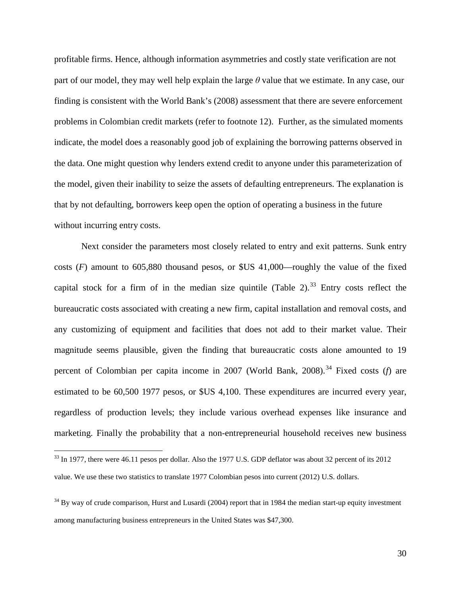profitable firms. Hence, although information asymmetries and costly state verification are not part of our model, they may well help explain the large *θ* value that we estimate. In any case, our finding is consistent with the World Bank's (2008) assessment that there are severe enforcement problems in Colombian credit markets (refer to footnote 12). Further, as the simulated moments indicate, the model does a reasonably good job of explaining the borrowing patterns observed in the data. One might question why lenders extend credit to anyone under this parameterization of the model, given their inability to seize the assets of defaulting entrepreneurs. The explanation is that by not defaulting, borrowers keep open the option of operating a business in the future without incurring entry costs.

Next consider the parameters most closely related to entry and exit patterns. Sunk entry costs (*F*) amount to 605,880 thousand pesos, or \$US 41,000—roughly the value of the fixed capital stock for a firm of in the median size quintile (Table 2).<sup>[33](#page-29-0)</sup> Entry costs reflect the bureaucratic costs associated with creating a new firm, capital installation and removal costs, and any customizing of equipment and facilities that does not add to their market value. Their magnitude seems plausible, given the finding that bureaucratic costs alone amounted to 19 percent of Colombian per capita income in 2007 (World Bank, 2008).<sup>[34](#page-29-1)</sup> Fixed costs (*f*) are estimated to be 60,500 1977 pesos, or \$US 4,100. These expenditures are incurred every year, regardless of production levels; they include various overhead expenses like insurance and marketing. Finally the probability that a non-entrepreneurial household receives new business

<span id="page-29-0"></span><sup>&</sup>lt;sup>33</sup> In 1977, there were 46.11 pesos per dollar. Also the 1977 U.S. GDP deflator was about 32 percent of its 2012 value. We use these two statistics to translate 1977 Colombian pesos into current (2012) U.S. dollars.

<span id="page-29-1"></span><sup>&</sup>lt;sup>34</sup> By way of crude comparison, Hurst and Lusardi (2004) report that in 1984 the median start-up equity investment among manufacturing business entrepreneurs in the United States was \$47,300.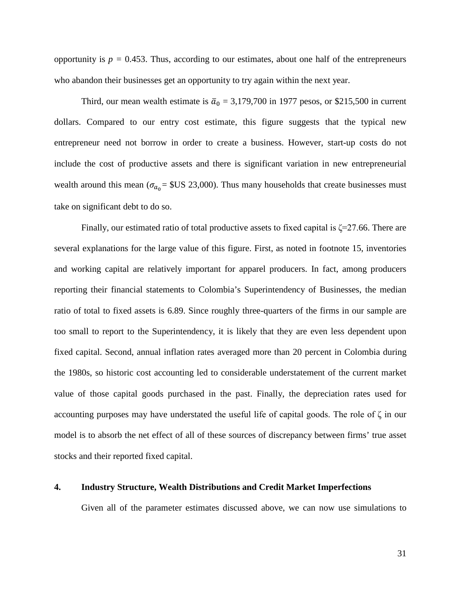opportunity is  $p = 0.453$ . Thus, according to our estimates, about one half of the entrepreneurs who abandon their businesses get an opportunity to try again within the next year.

Third, our mean wealth estimate is  $\bar{a}_0 = 3,179,700$  in 1977 pesos, or \$215,500 in current dollars. Compared to our entry cost estimate, this figure suggests that the typical new entrepreneur need not borrow in order to create a business. However, start-up costs do not include the cost of productive assets and there is significant variation in new entrepreneurial wealth around this mean ( $\sigma_{a_0}$  = \$US 23,000). Thus many households that create businesses must take on significant debt to do so.

Finally, our estimated ratio of total productive assets to fixed capital is  $\zeta$ =27.66. There are several explanations for the large value of this figure. First, as noted in footnote 15, inventories and working capital are relatively important for apparel producers. In fact, among producers reporting their financial statements to Colombia's Superintendency of Businesses, the median ratio of total to fixed assets is 6.89. Since roughly three-quarters of the firms in our sample are too small to report to the Superintendency, it is likely that they are even less dependent upon fixed capital. Second, annual inflation rates averaged more than 20 percent in Colombia during the 1980s, so historic cost accounting led to considerable understatement of the current market value of those capital goods purchased in the past. Finally, the depreciation rates used for accounting purposes may have understated the useful life of capital goods. The role of ζ in our model is to absorb the net effect of all of these sources of discrepancy between firms' true asset stocks and their reported fixed capital.

#### **4. Industry Structure, Wealth Distributions and Credit Market Imperfections**

Given all of the parameter estimates discussed above, we can now use simulations to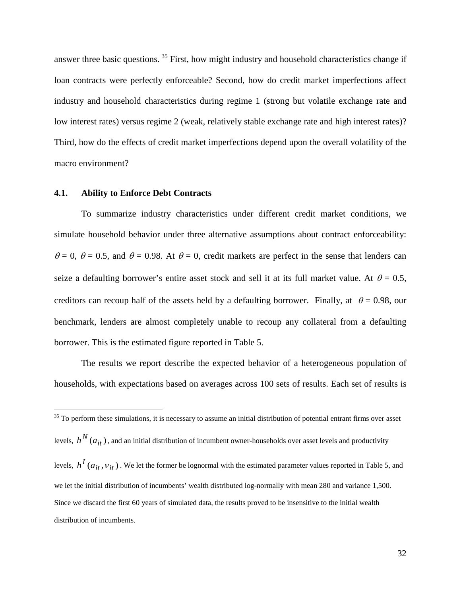answer three basic questions.<sup>[35](#page-31-0)</sup> First, how might industry and household characteristics change if loan contracts were perfectly enforceable? Second, how do credit market imperfections affect industry and household characteristics during regime 1 (strong but volatile exchange rate and low interest rates) versus regime 2 (weak, relatively stable exchange rate and high interest rates)? Third, how do the effects of credit market imperfections depend upon the overall volatility of the macro environment?

#### **4.1. Ability to Enforce Debt Contracts**

To summarize industry characteristics under different credit market conditions, we simulate household behavior under three alternative assumptions about contract enforceability:  $\theta = 0$ ,  $\theta = 0.5$ , and  $\theta = 0.98$ . At  $\theta = 0$ , credit markets are perfect in the sense that lenders can seize a defaulting borrower's entire asset stock and sell it at its full market value. At  $\theta = 0.5$ , creditors can recoup half of the assets held by a defaulting borrower. Finally, at  $\theta = 0.98$ , our benchmark, lenders are almost completely unable to recoup any collateral from a defaulting borrower. This is the estimated figure reported in Table 5.

The results we report describe the expected behavior of a heterogeneous population of households, with expectations based on averages across 100 sets of results. Each set of results is

<span id="page-31-0"></span> $35$  To perform these simulations, it is necessary to assume an initial distribution of potential entrant firms over asset levels,  $h^N(a_{it})$  , and an initial distribution of incumbent owner-households over asset levels and productivity levels,  $h^I(a_{it}, v_{it})$ . We let the former be lognormal with the estimated parameter values reported in Table 5, and we let the initial distribution of incumbents' wealth distributed log-normally with mean 280 and variance 1,500. Since we discard the first 60 years of simulated data, the results proved to be insensitive to the initial wealth distribution of incumbents.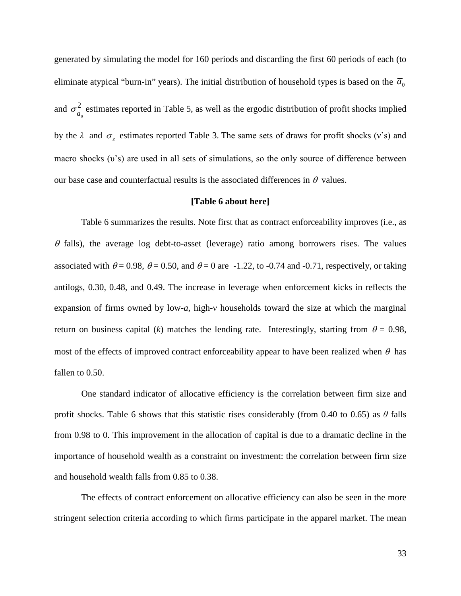generated by simulating the model for 160 periods and discarding the first 60 periods of each (to eliminate atypical "burn-in" years). The initial distribution of household types is based on the  $\overline{a}_0$ and  $\sigma_{a_0}^2$  estimates reported in Table 5, as well as the ergodic distribution of profit shocks implied by the  $\lambda$  and  $\sigma_{\varepsilon}$  estimates reported Table 3. The same sets of draws for profit shocks (v's) and macro shocks (*v*'s) are used in all sets of simulations, so the only source of difference between our base case and counterfactual results is the associated differences in  $\theta$  values.

## **[Table 6 about here]**

Table 6 summarizes the results. Note first that as contract enforceability improves (i.e., as  $\theta$  falls), the average log debt-to-asset (leverage) ratio among borrowers rises. The values associated with  $\theta = 0.98$ ,  $\theta = 0.50$ , and  $\theta = 0$  are -1.22, to -0.74 and -0.71, respectively, or taking antilogs, 0.30, 0.48, and 0.49. The increase in leverage when enforcement kicks in reflects the expansion of firms owned by low-*a*, high-ν households toward the size at which the marginal return on business capital (*k*) matches the lending rate. Interestingly, starting from  $\theta = 0.98$ , most of the effects of improved contract enforceability appear to have been realized when  $\theta$  has fallen to 0.50.

One standard indicator of allocative efficiency is the correlation between firm size and profit shocks. Table 6 shows that this statistic rises considerably (from 0.40 to 0.65) as *θ* falls from 0.98 to 0. This improvement in the allocation of capital is due to a dramatic decline in the importance of household wealth as a constraint on investment: the correlation between firm size and household wealth falls from 0.85 to 0.38.

The effects of contract enforcement on allocative efficiency can also be seen in the more stringent selection criteria according to which firms participate in the apparel market. The mean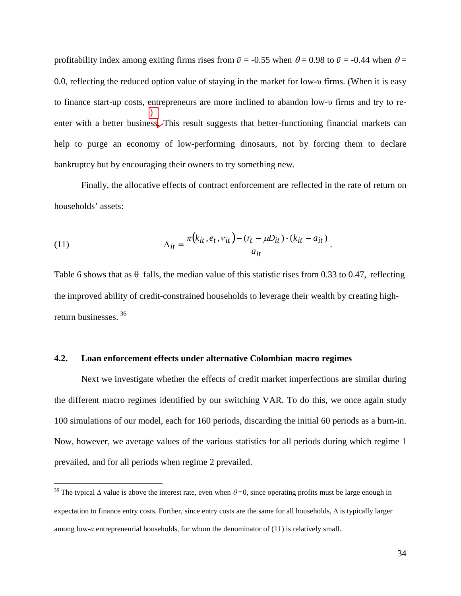profitability index among exiting firms rises from  $\bar{v} = -0.55$  when  $\theta = 0.98$  to  $\bar{v} = -0.44$  when  $\theta =$ 0.0, reflecting the reduced option value of staying in the market for low-υ firms. (When it is easy to finance start-up costs, entrepreneurs are more inclined to abandon low-υ firms and try to reenter with a better business. This result suggests that better-functioning financial markets can help to purge an economy of low-performing dinosaurs, not by forcing them to declare bankruptcy but by encouraging their owners to try something new. )

Finally, the allocative effects of contract enforcement are reflected in the rate of return on households' assets:

(11) 
$$
\Delta_{it} = \frac{\pi (k_{it}, e_t, v_{it}) - (r_t - \mu D_{it}) \cdot (k_{it} - a_{it})}{a_{it}}.
$$

Table 6 shows that as  $\theta$  falls, the median value of this statistic rises from 0.33 to 0.47, reflecting the improved ability of credit-constrained households to leverage their wealth by creating highreturn businesses. [36](#page-33-0)

#### **4.2. Loan enforcement effects under alternative Colombian macro regimes**

Next we investigate whether the effects of credit market imperfections are similar during the different macro regimes identified by our switching VAR. To do this, we once again study 100 simulations of our model, each for 160 periods, discarding the initial 60 periods as a burn-in. Now, however, we average values of the various statistics for all periods during which regime 1 prevailed, and for all periods when regime 2 prevailed.

<span id="page-33-0"></span><sup>&</sup>lt;sup>36</sup> The typical  $\Delta$  value is above the interest rate, even when  $\theta = 0$ , since operating profits must be large enough in expectation to finance entry costs. Further, since entry costs are the same for all households, ∆ is typically larger among low-*a* entrepreneurial households, for whom the denominator of (11) is relatively small.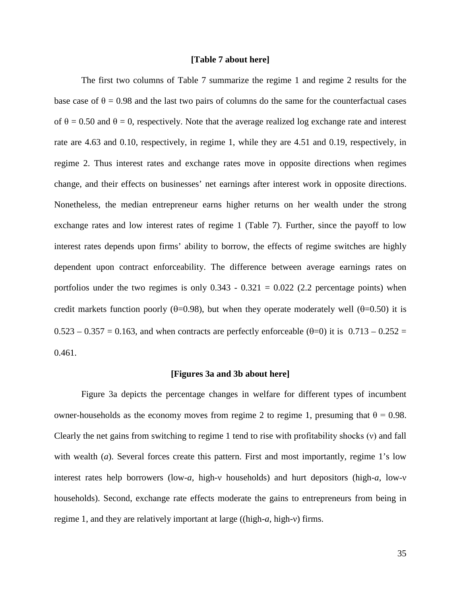## **[Table 7 about here]**

The first two columns of Table 7 summarize the regime 1 and regime 2 results for the base case of  $\theta = 0.98$  and the last two pairs of columns do the same for the counterfactual cases of  $\theta = 0.50$  and  $\theta = 0$ , respectively. Note that the average realized log exchange rate and interest rate are 4.63 and 0.10, respectively, in regime 1, while they are 4.51 and 0.19, respectively, in regime 2. Thus interest rates and exchange rates move in opposite directions when regimes change, and their effects on businesses' net earnings after interest work in opposite directions. Nonetheless, the median entrepreneur earns higher returns on her wealth under the strong exchange rates and low interest rates of regime 1 (Table 7). Further, since the payoff to low interest rates depends upon firms' ability to borrow, the effects of regime switches are highly dependent upon contract enforceability. The difference between average earnings rates on portfolios under the two regimes is only  $0.343 - 0.321 = 0.022$  (2.2 percentage points) when credit markets function poorly ( $\theta$ =0.98), but when they operate moderately well ( $\theta$ =0.50) it is  $0.523 - 0.357 = 0.163$ , and when contracts are perfectly enforceable ( $\theta$ =0) it is 0.713 – 0.252 = 0.461.

#### **[Figures 3a and 3b about here]**

Figure 3a depicts the percentage changes in welfare for different types of incumbent owner-households as the economy moves from regime 2 to regime 1, presuming that  $\theta = 0.98$ . Clearly the net gains from switching to regime 1 tend to rise with profitability shocks (ν) and fall with wealth (*a*). Several forces create this pattern. First and most importantly, regime 1's low interest rates help borrowers (low-*a*, high-ν households) and hurt depositors (high-*a*, low-ν households). Second, exchange rate effects moderate the gains to entrepreneurs from being in regime 1, and they are relatively important at large ((high-*a*, high-ν) firms.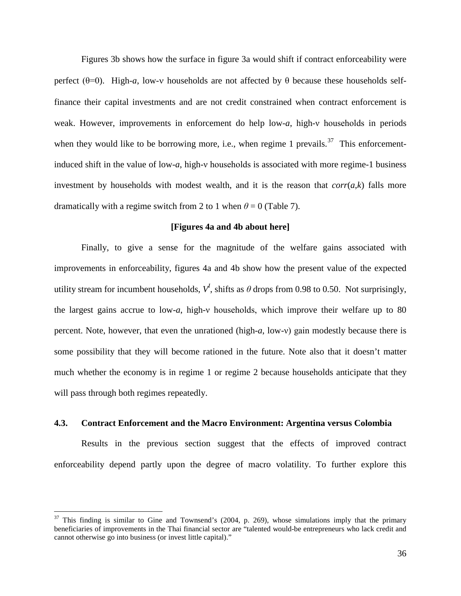Figures 3b shows how the surface in figure 3a would shift if contract enforceability were perfect ( $θ=0$ ). High-*a*, low-v households are not affected by  $θ$  because these households selffinance their capital investments and are not credit constrained when contract enforcement is weak. However, improvements in enforcement do help low-*a*, high-v households in periods when they would like to be borrowing more, i.e., when regime 1 prevails.<sup>[37](#page-35-0)</sup> This enforcementinduced shift in the value of low-*a*, high-ν households is associated with more regime-1 business investment by households with modest wealth, and it is the reason that  $corr(a,k)$  falls more dramatically with a regime switch from 2 to 1 when  $\theta = 0$  (Table 7).

## **[Figures 4a and 4b about here]**

Finally, to give a sense for the magnitude of the welfare gains associated with improvements in enforceability, figures 4a and 4b show how the present value of the expected utility stream for incumbent households,  $V^I$ , shifts as  $\theta$  drops from 0.98 to 0.50. Not surprisingly, the largest gains accrue to low-*a*, high-ν households, which improve their welfare up to 80 percent. Note, however, that even the unrationed (high-*a*, low-ν) gain modestly because there is some possibility that they will become rationed in the future. Note also that it doesn't matter much whether the economy is in regime 1 or regime 2 because households anticipate that they will pass through both regimes repeatedly.

### **4.3. Contract Enforcement and the Macro Environment: Argentina versus Colombia**

Results in the previous section suggest that the effects of improved contract enforceability depend partly upon the degree of macro volatility. To further explore this

<span id="page-35-0"></span> $37$  This finding is similar to Gine and Townsend's (2004, p. 269), whose simulations imply that the primary beneficiaries of improvements in the Thai financial sector are "talented would-be entrepreneurs who lack credit and cannot otherwise go into business (or invest little capital)."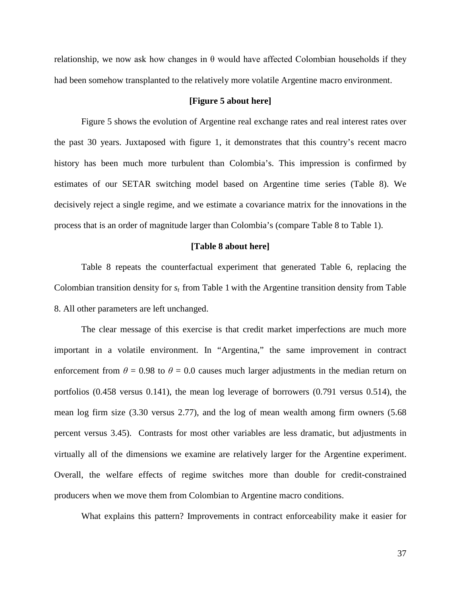relationship, we now ask how changes in  $\theta$  would have affected Colombian households if they had been somehow transplanted to the relatively more volatile Argentine macro environment.

## **[Figure 5 about here]**

Figure 5 shows the evolution of Argentine real exchange rates and real interest rates over the past 30 years. Juxtaposed with figure 1, it demonstrates that this country's recent macro history has been much more turbulent than Colombia's. This impression is confirmed by estimates of our SETAR switching model based on Argentine time series (Table 8). We decisively reject a single regime, and we estimate a covariance matrix for the innovations in the process that is an order of magnitude larger than Colombia's (compare Table 8 to Table 1).

## **[Table 8 about here]**

Table 8 repeats the counterfactual experiment that generated Table 6, replacing the Colombian transition density for *st* from Table 1 with the Argentine transition density from Table 8. All other parameters are left unchanged.

The clear message of this exercise is that credit market imperfections are much more important in a volatile environment. In "Argentina," the same improvement in contract enforcement from  $\theta = 0.98$  to  $\theta = 0.0$  causes much larger adjustments in the median return on portfolios (0.458 versus 0.141), the mean log leverage of borrowers (0.791 versus 0.514), the mean log firm size (3.30 versus 2.77), and the log of mean wealth among firm owners (5.68 percent versus 3.45). Contrasts for most other variables are less dramatic, but adjustments in virtually all of the dimensions we examine are relatively larger for the Argentine experiment. Overall, the welfare effects of regime switches more than double for credit-constrained producers when we move them from Colombian to Argentine macro conditions.

What explains this pattern? Improvements in contract enforceability make it easier for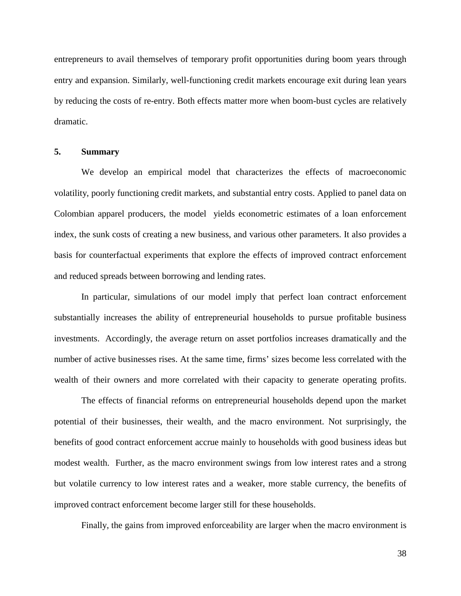entrepreneurs to avail themselves of temporary profit opportunities during boom years through entry and expansion. Similarly, well-functioning credit markets encourage exit during lean years by reducing the costs of re-entry. Both effects matter more when boom-bust cycles are relatively dramatic.

## **5. Summary**

We develop an empirical model that characterizes the effects of macroeconomic volatility, poorly functioning credit markets, and substantial entry costs. Applied to panel data on Colombian apparel producers, the model yields econometric estimates of a loan enforcement index, the sunk costs of creating a new business, and various other parameters. It also provides a basis for counterfactual experiments that explore the effects of improved contract enforcement and reduced spreads between borrowing and lending rates.

In particular, simulations of our model imply that perfect loan contract enforcement substantially increases the ability of entrepreneurial households to pursue profitable business investments. Accordingly, the average return on asset portfolios increases dramatically and the number of active businesses rises. At the same time, firms' sizes become less correlated with the wealth of their owners and more correlated with their capacity to generate operating profits.

The effects of financial reforms on entrepreneurial households depend upon the market potential of their businesses, their wealth, and the macro environment. Not surprisingly, the benefits of good contract enforcement accrue mainly to households with good business ideas but modest wealth. Further, as the macro environment swings from low interest rates and a strong but volatile currency to low interest rates and a weaker, more stable currency, the benefits of improved contract enforcement become larger still for these households.

Finally, the gains from improved enforceability are larger when the macro environment is

38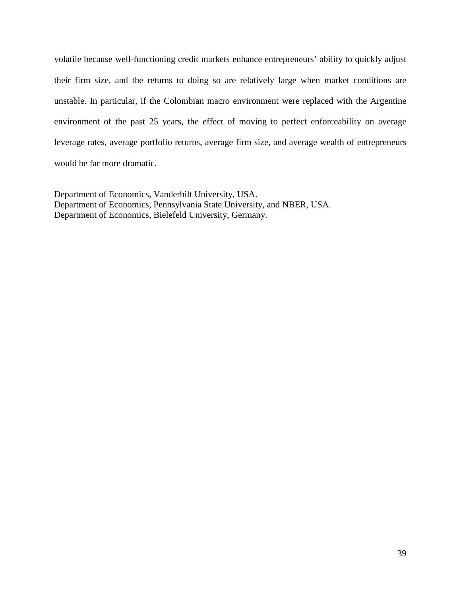volatile because well-functioning credit markets enhance entrepreneurs' ability to quickly adjust their firm size, and the returns to doing so are relatively large when market conditions are unstable. In particular, if the Colombian macro environment were replaced with the Argentine environment of the past 25 years, the effect of moving to perfect enforceability on average leverage rates, average portfolio returns, average firm size, and average wealth of entrepreneurs would be far more dramatic.

Department of Economics, Vanderbilt University, USA. Department of Economics, Pennsylvania State University, and NBER, USA. Department of Economics, Bielefeld University, Germany.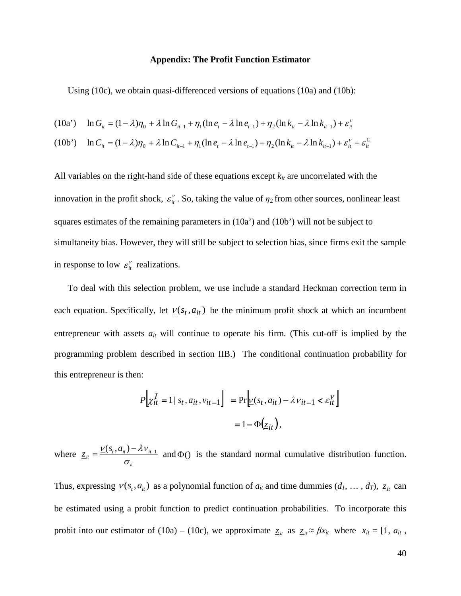### **Appendix: The Profit Function Estimator**

Using (10c), we obtain quasi-differenced versions of equations (10a) and (10b):

$$
(10a') \quad \ln G_{it} = (1 - \lambda)\eta_0 + \lambda \ln G_{it-1} + \eta_1 (\ln e_t - \lambda \ln e_{t-1}) + \eta_2 (\ln k_{it} - \lambda \ln k_{it-1}) + \varepsilon_{it}^{\nu}
$$

$$
(10b') \quad \ln C_{it} = (1 - \lambda)\eta_0 + \lambda \ln C_{it-1} + \eta_1 (\ln e_t - \lambda \ln e_{t-1}) + \eta_2 (\ln k_{it} - \lambda \ln k_{it-1}) + \varepsilon_{it}^v + \varepsilon_{it}^c
$$

All variables on the right-hand side of these equations except  $k_{it}$  are uncorrelated with the innovation in the profit shock,  $\varepsilon_{it}^{\nu}$ . So, taking the value of  $\eta_2$  from other sources, nonlinear least squares estimates of the remaining parameters in (10a') and (10b') will not be subject to simultaneity bias. However, they will still be subject to selection bias, since firms exit the sample in response to low  $\varepsilon_{it}^{\nu}$  realizations.

To deal with this selection problem, we use include a standard Heckman correction term in each equation. Specifically, let  $\underline{v}(s_t, a_{it})$  be the minimum profit shock at which an incumbent entrepreneur with assets  $a_{it}$  will continue to operate his firm. (This cut-off is implied by the programming problem described in section IIB.) The conditional continuation probability for this entrepreneur is then:

$$
P\left[\chi_{it}^I = 1 \mid s_t, a_{it}, v_{it-1}\right] = \Pr\left[\underline{v}(s_t, a_{it}) - \lambda v_{it-1} < \varepsilon_{it}^V\right]
$$
\n
$$
= 1 - \Phi\left(\underline{z}_{it}\right),
$$

where  $\sigma_{_\varepsilon}$  $v_{it} = \frac{\nu(s_t, a_{it}) - \lambda v_{it-1}}{h}$  $z_{it} = \frac{V(s_t, a_{it}) - \lambda V_{it-1}}{V}$  and  $\Phi()$  is the standard normal cumulative distribution function.

Thus, expressing  $\underline{v}(s_t, a_{it})$  as a polynomial function of  $a_{it}$  and time dummies  $(d_1, \ldots, d_T)$ ,  $\underline{z}_{it}$  can be estimated using a probit function to predict continuation probabilities. To incorporate this probit into our estimator of (10a) – (10c), we approximate  $z_{it}$  as  $z_{it} \approx \beta x_{it}$  where  $x_{it} = [1, a_{it},$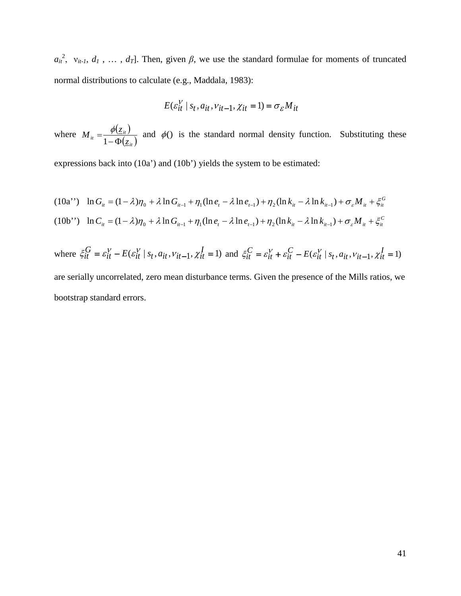$a_{it}^2$ ,  $v_{it-1}, d_1$ , ...,  $d_T$ ]. Then, given  $\beta$ , we use the standard formulae for moments of truncated normal distributions to calculate (e.g., Maddala, 1983):

$$
E(\varepsilon_{it}^V \mid s_t, a_{it}, v_{it-1}, \chi_{it} = 1) = \sigma_{\varepsilon} M_{it}
$$

where  $M_{it} = \frac{\phi(z_{it})}{\phi(z_{it})}$  $\left( \underline{z}_{it}\right)$  $M_{it} = \frac{\phi(\underline{z}_{it})}{1 - \Phi(\underline{z})}$  $\frac{\phi(z_{it})}{\phi(z_{it})}$  and  $\phi$  is the standard normal density function. Substituting these

expressions back into (10a') and (10b') yields the system to be estimated:

$$
(10a^{\prime\prime}) \quad \ln G_{it} = (1 - \lambda)\eta_0 + \lambda \ln G_{it-1} + \eta_1 (\ln e_t - \lambda \ln e_{t-1}) + \eta_2 (\ln k_{it} - \lambda \ln k_{it-1}) + \sigma_{\varepsilon} M_{it} + \xi_{it}^G
$$
\n
$$
(10b^{\prime\prime}) \quad \ln C_{it} = (1 - \lambda)\eta_0 + \lambda \ln G_{it-1} + \eta_1 (\ln e_t - \lambda \ln e_{t-1}) + \eta_2 (\ln k_{it} - \lambda \ln k_{it-1}) + \sigma_{\varepsilon} M_{it} + \xi_{it}^C
$$

where  $\xi_{it}^{G} = \varepsilon_{it}^{V} - E(\varepsilon_{it}^{V} | s_t, a_{it}, v_{it-1}, \chi_{it}^{I} = 1)$  $\xi_{it}^G = \varepsilon_{it}^V - E(\varepsilon_{it}^V \mid s_t, a_{it}, v_{it-1}, \chi_{it}^I = 1)$  and  $\xi_{it}^C = \varepsilon_{it}^V + \varepsilon_{it}^C - E(\varepsilon_{it}^V \mid s_t, a_{it}, v_{it-1}, \chi_{it}^I = 1)$ *C*  $\xi_{it}^C = \varepsilon_{it}^V + \varepsilon_{it}^C - E(\varepsilon_{it}^V \mid s_t, a_{it}, v_{it-1}, \chi)$ 

are serially uncorrelated, zero mean disturbance terms. Given the presence of the Mills ratios, we bootstrap standard errors.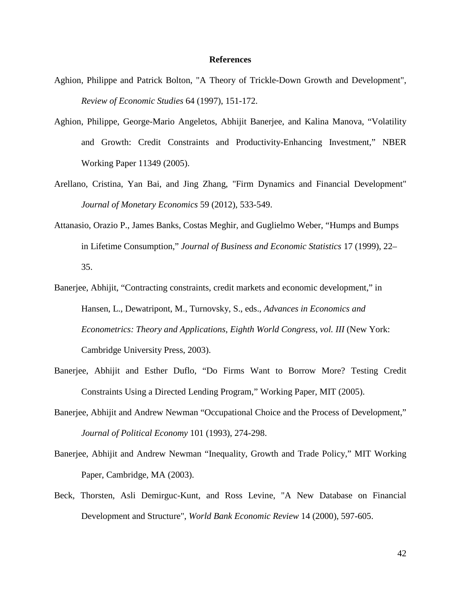#### **References**

- Aghion, Philippe and Patrick Bolton, "A Theory of Trickle-Down Growth and Development", *Review of Economic Studies* 64 (1997), 151-172.
- Aghion, Philippe, George-Mario Angeletos, Abhijit Banerjee, and Kalina Manova, "Volatility and Growth: Credit Constraints and Productivity-Enhancing Investment," NBER Working Paper 11349 (2005).
- Arellano, Cristina, Yan Bai, and Jing Zhang, "Firm Dynamics and Financial Development" *Journal of Monetary Economics* 59 (2012), 533-549.
- Attanasio, Orazio P., James Banks, Costas Meghir, and Guglielmo Weber, "Humps and Bumps in Lifetime Consumption," *Journal of Business and Economic Statistics* 17 (1999), 22– 35.
- Banerjee, Abhijit, "Contracting constraints, credit markets and economic development," in Hansen, L., Dewatripont, M., Turnovsky, S., eds., *Advances in Economics and Econometrics: Theory and Applications, Eighth World Congress*, *vol. III* (New York: Cambridge University Press, 2003).
- Banerjee, Abhijit and Esther Duflo, "Do Firms Want to Borrow More? Testing Credit Constraints Using a Directed Lending Program," Working Paper, MIT (2005).
- Banerjee, Abhijit and Andrew Newman "Occupational Choice and the Process of Development," *Journal of Political Economy* 101 (1993), 274-298.
- Banerjee, Abhijit and Andrew Newman "Inequality, Growth and Trade Policy," MIT Working Paper, Cambridge, MA (2003).
- Beck, Thorsten, Asli Demirguc-Kunt, and Ross Levine, "A New Database on Financial Development and Structure", *World Bank Economic Review* 14 (2000), 597-605.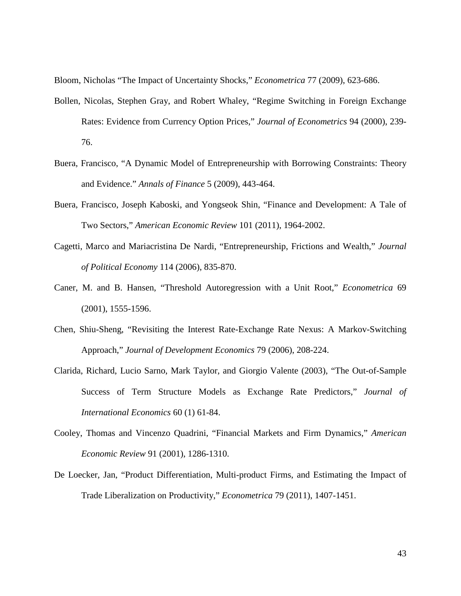Bloom, Nicholas "The Impact of Uncertainty Shocks," *Econometrica* 77 (2009), 623-686.

- Bollen, Nicolas, Stephen Gray, and Robert Whaley, "Regime Switching in Foreign Exchange Rates: Evidence from Currency Option Prices," *Journal of Econometrics* 94 (2000), 239- 76.
- Buera, Francisco, "A Dynamic Model of Entrepreneurship with Borrowing Constraints: Theory and Evidence." *Annals of Finance* 5 (2009), 443-464.
- Buera, Francisco, Joseph Kaboski, and Yongseok Shin, "Finance and Development: A Tale of Two Sectors," *American Economic Review* 101 (2011), 1964-2002.
- Cagetti, Marco and Mariacristina De Nardi, "Entrepreneurship, Frictions and Wealth," *Journal of Political Economy* 114 (2006), 835-870.
- Caner, M. and B. Hansen, "Threshold Autoregression with a Unit Root," *Econometrica* 69 (2001), 1555-1596.
- Chen, Shiu-Sheng, "Revisiting the Interest Rate-Exchange Rate Nexus: A Markov-Switching Approach," *Journal of Development Economics* 79 (2006), 208-224.
- Clarida, Richard, Lucio Sarno, Mark Taylor, and Giorgio Valente (2003), "The Out-of-Sample Success of Term Structure Models as Exchange Rate Predictors," *Journal of International Economics* 60 (1) 61-84.
- Cooley, Thomas and Vincenzo Quadrini, "Financial Markets and Firm Dynamics," *American Economic Review* 91 (2001), 1286-1310.
- De Loecker, Jan, "Product Differentiation, Multi-product Firms, and Estimating the Impact of Trade Liberalization on Productivity," *Econometrica* 79 (2011), 1407-1451.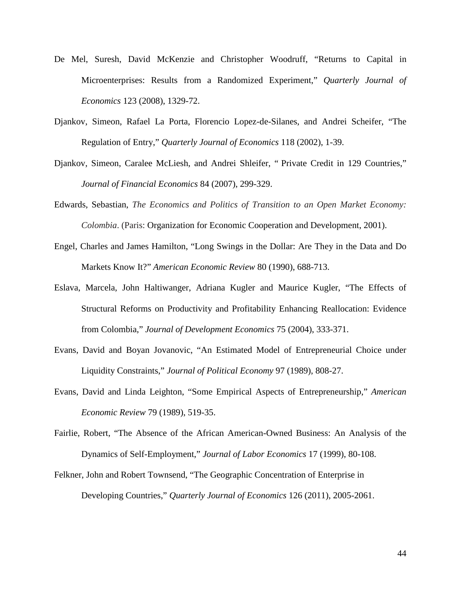- De Mel, Suresh, David McKenzie and Christopher Woodruff, "Returns to Capital in Microenterprises: Results from a Randomized Experiment," *Quarterly Journal of Economics* 123 (2008), 1329-72.
- Djankov, Simeon, Rafael La Porta, Florencio Lopez-de-Silanes, and Andrei Scheifer, "The Regulation of Entry," *Quarterly Journal of Economics* 118 (2002), 1-39.
- Djankov, Simeon, Caralee McLiesh, and Andrei Shleifer, " Private Credit in 129 Countries," *Journal of Financial Economics* 84 (2007), 299-329.
- Edwards, Sebastian, *The Economics and Politics of Transition to an Open Market Economy: Colombia*. (Paris: Organization for Economic Cooperation and Development, 2001).
- Engel, Charles and James Hamilton, "Long Swings in the Dollar: Are They in the Data and Do Markets Know It?" *American Economic Review* 80 (1990), 688-713.
- Eslava, Marcela, John Haltiwanger, Adriana Kugler and Maurice Kugler, "The Effects of Structural Reforms on Productivity and Profitability Enhancing Reallocation: Evidence from Colombia," *Journal of Development Economics* 75 (2004), 333-371.
- Evans, David and Boyan Jovanovic, "An Estimated Model of Entrepreneurial Choice under Liquidity Constraints," *Journal of Political Economy* 97 (1989), 808-27.
- Evans, David and Linda Leighton, "Some Empirical Aspects of Entrepreneurship," *American Economic Review* 79 (1989), 519-35.
- Fairlie, Robert, "The Absence of the African American-Owned Business: An Analysis of the Dynamics of Self-Employment," *Journal of Labor Economics* 17 (1999), 80-108.
- Felkner, John and Robert Townsend, "The Geographic Concentration of Enterprise in Developing Countries," *Quarterly Journal of Economics* 126 (2011), 2005-2061.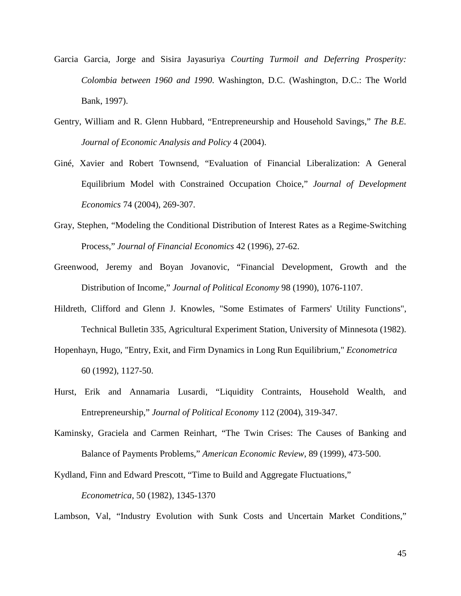- Garcia Garcia, Jorge and Sisira Jayasuriya *Courting Turmoil and Deferring Prosperity: Colombia between 1960 and 1990*. Washington, D.C. (Washington, D.C.: The World Bank, 1997).
- Gentry, William and R. Glenn Hubbard, "Entrepreneurship and Household Savings," *The B.E. Journal of Economic Analysis and Policy* 4 (2004).
- Giné, Xavier and Robert Townsend, "Evaluation of Financial Liberalization: A General Equilibrium Model with Constrained Occupation Choice," *Journal of Development Economics* 74 (2004), 269-307.
- Gray, Stephen, "Modeling the Conditional Distribution of Interest Rates as a Regime-Switching Process," *Journal of Financial Economics* 42 (1996), 27-62.
- Greenwood, Jeremy and Boyan Jovanovic, "Financial Development, Growth and the Distribution of Income," *Journal of Political Economy* 98 (1990), 1076-1107.
- Hildreth, Clifford and Glenn J. Knowles, "Some Estimates of Farmers' Utility Functions", Technical Bulletin 335, Agricultural Experiment Station, University of Minnesota (1982).
- Hopenhayn, Hugo, "Entry, Exit, and Firm Dynamics in Long Run Equilibrium," *Econometrica* 60 (1992), 1127-50.
- Hurst, Erik and Annamaria Lusardi, "Liquidity Contraints, Household Wealth, and Entrepreneurship," *Journal of Political Economy* 112 (2004), 319-347.
- Kaminsky, Graciela and Carmen Reinhart, "The Twin Crises: The Causes of Banking and Balance of Payments Problems," *American Economic Review*, 89 (1999), 473-500.

Kydland, Finn and Edward Prescott, "Time to Build and Aggregate Fluctuations,"

*Econometrica*, 50 (1982), 1345-1370

Lambson, Val, "Industry Evolution with Sunk Costs and Uncertain Market Conditions,"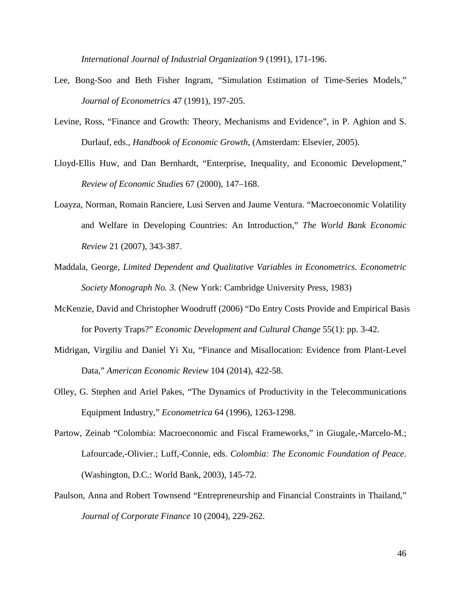*International Journal of Industrial Organization* 9 (1991), 171-196.

- Lee, Bong-Soo and Beth Fisher Ingram, "Simulation Estimation of Time-Series Models," *Journal of Econometrics* 47 (1991), 197-205.
- Levine, Ross, "Finance and Growth: Theory, Mechanisms and Evidence", in P. Aghion and S. Durlauf, eds., *Handbook of Economic Growth*, (Amsterdam: Elsevier, 2005).
- Lloyd-Ellis Huw, and Dan Bernhardt, "Enterprise, Inequality, and Economic Development," *Review of Economic Studies* 67 (2000), 147–168.
- Loayza, Norman, Romain Ranciere, Lusi Serven and Jaume Ventura. "Macroeconomic Volatility and Welfare in Developing Countries: An Introduction," *The World Bank Economic Review* 21 (2007), 343-387.
- Maddala, George, *Limited Dependent and Qualitative Variables in Econometrics*. *Econometric Society Monograph No. 3.* (New York: Cambridge University Press, 1983)
- McKenzie, David and Christopher Woodruff (2006) "Do Entry Costs Provide and Empirical Basis for Poverty Traps?" *Economic Development and Cultural Change* 55(1): pp. 3-42.
- Midrigan, Virgiliu and Daniel Yi Xu, "Finance and Misallocation: Evidence from Plant-Level Data," *American Economic Review* 104 (2014), 422-58.
- Olley, G. Stephen and Ariel Pakes, "The Dynamics of Productivity in the Telecommunications Equipment Industry," *Econometrica* 64 (1996), 1263-1298.
- Partow, Zeinab "Colombia: Macroeconomic and Fiscal Frameworks," in Giugale,-Marcelo-M.; Lafourcade,-Olivier.; Luff,-Connie, eds. *Colombia: The Economic Foundation of Peace*. (Washington, D.C.: World Bank, 2003), 145-72.
- Paulson, Anna and Robert Townsend "Entrepreneurship and Financial Constraints in Thailand," *Journal of Corporate Finance* 10 (2004), 229-262.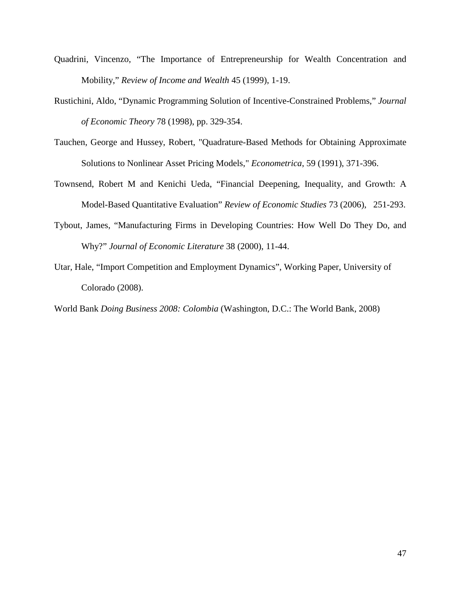- Quadrini, Vincenzo, "The Importance of Entrepreneurship for Wealth Concentration and Mobility," *Review of Income and Wealth* 45 (1999), 1-19.
- Rustichini, Aldo, "Dynamic Programming Solution of Incentive-Constrained Problems," *Journal of Economic Theory* 78 (1998), pp. 329-354.
- Tauchen, George and Hussey, Robert, "Quadrature-Based Methods for Obtaining Approximate Solutions to Nonlinear Asset Pricing Models," *Econometrica*, 59 (1991), 371-396.
- Townsend, Robert M and Kenichi Ueda, "Financial Deepening, Inequality, and Growth: A Model-Based Quantitative Evaluation" *Review of Economic Studies* 73 (2006), 251-293.
- Tybout, James, "Manufacturing Firms in Developing Countries: How Well Do They Do, and Why?" *Journal of Economic Literature* 38 (2000), 11-44.
- Utar, Hale, "Import Competition and Employment Dynamics", Working Paper, University of Colorado (2008).

World Bank *Doing Business 2008: Colombia* (Washington, D.C.: The World Bank, 2008)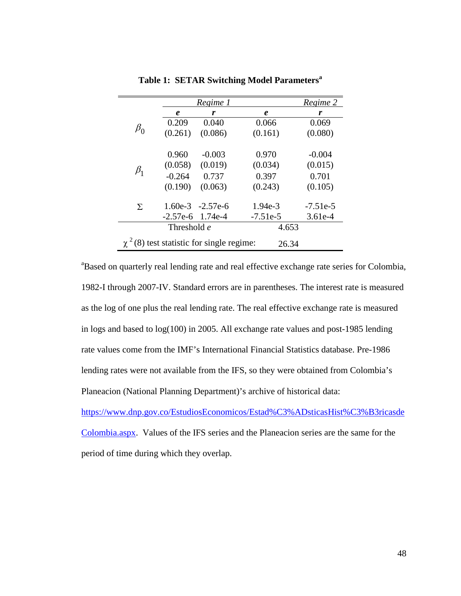|                                                         |                    | Regime 1           |            | Regime 2   |  |
|---------------------------------------------------------|--------------------|--------------------|------------|------------|--|
|                                                         | e                  | r                  | e          | r          |  |
|                                                         | 0.209              | 0.040              | 0.066      | 0.069      |  |
| $\beta_0$                                               | (0.261)            | (0.086)            | (0.161)    | (0.080)    |  |
|                                                         | 0.960              | $-0.003$           | 0.970      | $-0.004$   |  |
|                                                         | (0.058)            | (0.019)            | (0.034)    | (0.015)    |  |
| $\beta_1$                                               | $-0.264$           | 0.737              | 0.397      | 0.701      |  |
|                                                         | (0.190)            | (0.063)            | (0.243)    | (0.105)    |  |
| $\Sigma$                                                |                    | $1.60e-3 -2.57e-6$ | $1.94e-3$  | $-7.51e-5$ |  |
|                                                         | $-2.57e-6$ 1.74e-4 |                    | $-7.51e-5$ | $3.61e-4$  |  |
|                                                         | Threshold e        | 4.653              |            |            |  |
| $\chi^2$ (8) test statistic for single regime:<br>26.34 |                    |                    |            |            |  |

**Table 1: SETAR Switching Model Parameters<sup>a</sup>**

<sup>a</sup>Based on quarterly real lending rate and real effective exchange rate series for Colombia, 1982-I through 2007-IV. Standard errors are in parentheses. The interest rate is measured as the log of one plus the real lending rate. The real effective exchange rate is measured in logs and based to log(100) in 2005. All exchange rate values and post-1985 lending rate values come from the IMF's International Financial Statistics database. Pre-1986 lending rates were not available from the IFS, so they were obtained from Colombia's Planeacion (National Planning Department)'s archive of historical data:

[https://www.dnp.gov.co/EstudiosEconomicos/Estad%C3%ADsticasHist%C3%B3ricasde](https://www.dnp.gov.co/EstudiosEconomicos/Estad%C3%ADsticasHist%C3%B3ricasdeColombia.aspx) [Colombia.aspx.](https://www.dnp.gov.co/EstudiosEconomicos/Estad%C3%ADsticasHist%C3%B3ricasdeColombia.aspx) Values of the IFS series and the Planeacion series are the same for the

period of time during which they overlap.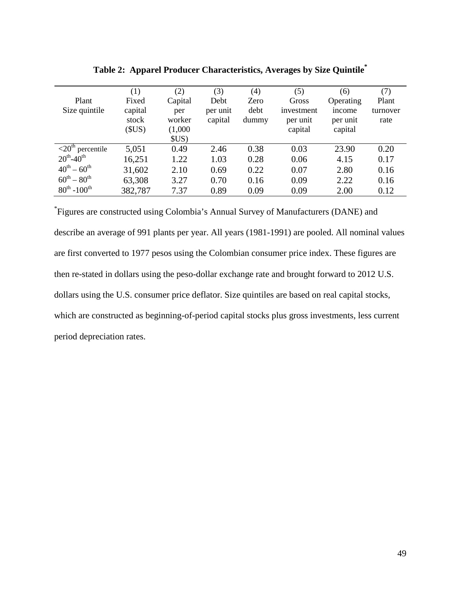|                                          | (1)     | (2)     | (3)      | (4)   | (5)        | (6)       | (7)      |
|------------------------------------------|---------|---------|----------|-------|------------|-----------|----------|
| Plant                                    | Fixed   | Capital | Debt     | Zero  | Gross      | Operating | Plant    |
| Size quintile                            | capital | per     | per unit | debt  | investment | income    | turnover |
|                                          | stock   | worker  | capital  | dummy | per unit   | per unit  | rate     |
|                                          | (SUS)   | (1,000) |          |       | capital    | capital   |          |
|                                          |         | SUS     |          |       |            |           |          |
| $\overline{20}$ <sup>th</sup> percentile | 5,051   | 0.49    | 2.46     | 0.38  | 0.03       | 23.90     | 0.20     |
| $20^{th} - 40^{th}$                      | 16,251  | 1.22    | 1.03     | 0.28  | 0.06       | 4.15      | 0.17     |
| $40^{th} - 60^{th}$                      | 31,602  | 2.10    | 0.69     | 0.22  | 0.07       | 2.80      | 0.16     |
| $60^{th} - 80^{th}$                      | 63,308  | 3.27    | 0.70     | 0.16  | 0.09       | 2.22      | 0.16     |
| $80^{th}$ -100 <sup>th</sup>             | 382,787 | 7.37    | 0.89     | 0.09  | 0.09       | 2.00      | 0.12     |

**Table 2: Apparel Producer Characteristics, Averages by Size Quintile\***

\* Figures are constructed using Colombia's Annual Survey of Manufacturers (DANE) and describe an average of 991 plants per year. All years (1981-1991) are pooled. All nominal values are first converted to 1977 pesos using the Colombian consumer price index. These figures are then re-stated in dollars using the peso-dollar exchange rate and brought forward to 2012 U.S. dollars using the U.S. consumer price deflator. Size quintiles are based on real capital stocks, which are constructed as beginning-of-period capital stocks plus gross investments, less current period depreciation rates.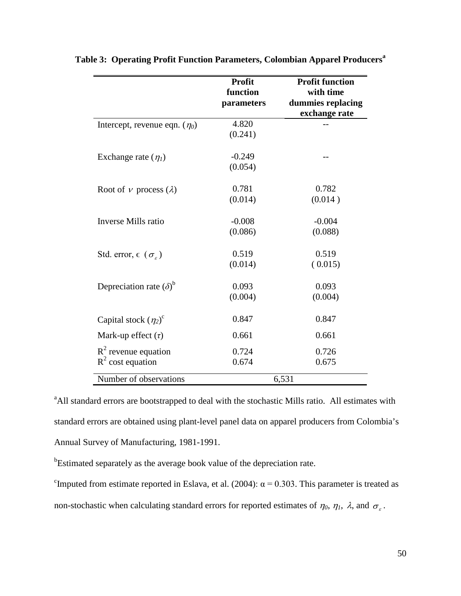|                                                | <b>Profit</b> | <b>Profit function</b> |
|------------------------------------------------|---------------|------------------------|
|                                                | function      | with time              |
|                                                | parameters    | dummies replacing      |
|                                                |               | exchange rate          |
| Intercept, revenue eqn. $(\eta_0)$             | 4.820         |                        |
|                                                | (0.241)       |                        |
| Exchange rate $(\eta_1)$                       | $-0.249$      |                        |
|                                                | (0.054)       |                        |
| Root of $\nu$ process ( $\lambda$ )            | 0.781         | 0.782                  |
|                                                | (0.014)       | (0.014)                |
| Inverse Mills ratio                            | $-0.008$      | $-0.004$               |
|                                                | (0.086)       | (0.088)                |
| Std. error, $\epsilon$ ( $\sigma_{\epsilon}$ ) | 0.519         | 0.519                  |
|                                                | (0.014)       | (0.015)                |
| Depreciation rate $(\delta)^b$                 | 0.093         | 0.093                  |
|                                                | (0.004)       | (0.004)                |
| Capital stock $(\eta_2)^c$                     | 0.847         | 0.847                  |
| Mark-up effect $(\tau)$                        | 0.661         | 0.661                  |
| $R^2$ revenue equation                         | 0.724         | 0.726                  |
| $R^2$ cost equation                            | 0.674         | 0.675                  |
| Number of observations                         |               | 6,531                  |

**Table 3: Operating Profit Function Parameters, Colombian Apparel Producers<sup>a</sup>**

<sup>a</sup> All standard errors are bootstrapped to deal with the stochastic Mills ratio. All estimates with standard errors are obtained using plant-level panel data on apparel producers from Colombia's Annual Survey of Manufacturing, 1981-1991.

<sup>b</sup>Estimated separately as the average book value of the depreciation rate.

<sup>c</sup>Imputed from estimate reported in Eslava, et al. (2004):  $\alpha$  = 0.303. This parameter is treated as non-stochastic when calculating standard errors for reported estimates of  $\eta_0$ ,  $\eta_1$ ,  $\lambda$ , and  $\sigma_{\varepsilon}$ .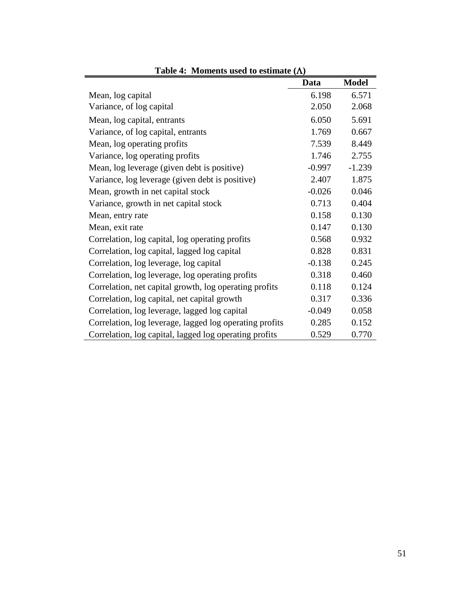| Table 4: Moments used to estimate $(\Lambda)$           |          |              |  |  |  |
|---------------------------------------------------------|----------|--------------|--|--|--|
|                                                         | Data     | <b>Model</b> |  |  |  |
| Mean, log capital                                       | 6.198    | 6.571        |  |  |  |
| Variance, of log capital                                | 2.050    | 2.068        |  |  |  |
| Mean, log capital, entrants                             | 6.050    | 5.691        |  |  |  |
| Variance, of log capital, entrants                      | 1.769    | 0.667        |  |  |  |
| Mean, log operating profits                             | 7.539    | 8.449        |  |  |  |
| Variance, log operating profits                         | 1.746    | 2.755        |  |  |  |
| Mean, log leverage (given debt is positive)             | $-0.997$ | $-1.239$     |  |  |  |
| Variance, log leverage (given debt is positive)         | 2.407    | 1.875        |  |  |  |
| Mean, growth in net capital stock                       | $-0.026$ | 0.046        |  |  |  |
| Variance, growth in net capital stock                   | 0.713    | 0.404        |  |  |  |
| Mean, entry rate                                        | 0.158    | 0.130        |  |  |  |
| Mean, exit rate                                         | 0.147    | 0.130        |  |  |  |
| Correlation, log capital, log operating profits         | 0.568    | 0.932        |  |  |  |
| Correlation, log capital, lagged log capital            | 0.828    | 0.831        |  |  |  |
| Correlation, log leverage, log capital                  | $-0.138$ | 0.245        |  |  |  |
| Correlation, log leverage, log operating profits        | 0.318    | 0.460        |  |  |  |
| Correlation, net capital growth, log operating profits  | 0.118    | 0.124        |  |  |  |
| Correlation, log capital, net capital growth            | 0.317    | 0.336        |  |  |  |
| Correlation, log leverage, lagged log capital           | $-0.049$ | 0.058        |  |  |  |
| Correlation, log leverage, lagged log operating profits | 0.285    | 0.152        |  |  |  |
| Correlation, log capital, lagged log operating profits  | 0.529    | 0.770        |  |  |  |

**Table 4: Moments used to estimate (**Λ**)**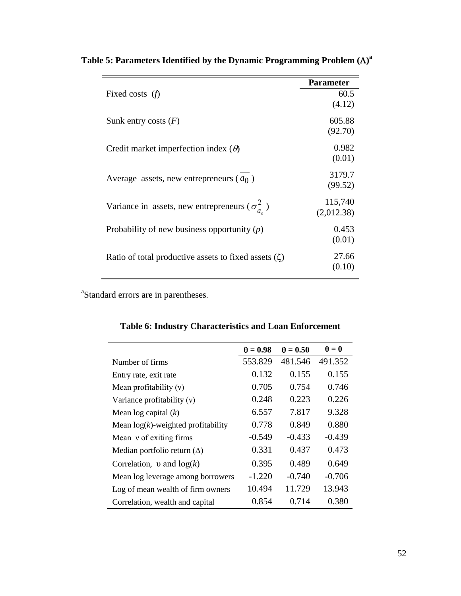| <b>Parameter</b> |
|------------------|
| 60.5             |
| (4.12)           |
| 605.88           |
| (92.70)          |
| 0.982            |
| (0.01)           |
| 3179.7           |
| (99.52)          |
| 115,740          |
| (2,012.38)       |
| 0.453            |
| (0.01)           |
| 27.66            |
| (0.10)           |
|                  |

 **Table 5: Parameters Identified by the Dynamic Programming Problem (**Λ**) a**

<sup>a</sup>Standard errors are in parentheses.

|                                       | $\theta = 0.98$ | $\theta = 0.50$ | $\theta = 0$ |
|---------------------------------------|-----------------|-----------------|--------------|
| Number of firms                       | 553.829         | 481.546         | 491.352      |
| Entry rate, exit rate                 | 0.132           | 0.155           | 0.155        |
| Mean profitability $(v)$              | 0.705           | 0.754           | 0.746        |
| Variance profitability $(v)$          | 0.248           | 0.223           | 0.226        |
| Mean $log$ capital $(k)$              | 6.557           | 7.817           | 9.328        |
| Mean $log(k)$ -weighted profitability | 0.778           | 0.849           | 0.880        |
| Mean v of exiting firms               | $-0.549$        | $-0.433$        | $-0.439$     |
| Median portfolio return $(\Delta)$    | 0.331           | 0.437           | 0.473        |
| Correlation, v and $log(k)$           | 0.395           | 0.489           | 0.649        |
| Mean log leverage among borrowers     | $-1.220$        | $-0.740$        | $-0.706$     |
| Log of mean wealth of firm owners     | 10.494          | 11.729          | 13.943       |
| Correlation, wealth and capital       | 0.854           | 0.714           | 0.380        |

**Table 6: Industry Characteristics and Loan Enforcement**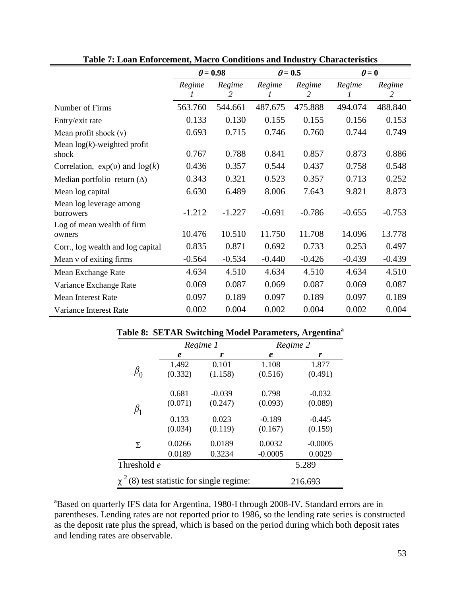|                                         | $\theta$ = 0.98 |             | $\theta$ = 0.5 |             | $\theta = 0$ |             |
|-----------------------------------------|-----------------|-------------|----------------|-------------|--------------|-------------|
|                                         | Regime          | Regime<br>2 | Regime         | Regime<br>2 | Regime       | Regime<br>2 |
| Number of Firms                         | 563.760         | 544.661     | 487.675        | 475.888     | 494.074      | 488.840     |
| Entry/exit rate                         | 0.133           | 0.130       | 0.155          | 0.155       | 0.156        | 0.153       |
| Mean profit shock $(v)$                 | 0.693           | 0.715       | 0.746          | 0.760       | 0.744        | 0.749       |
| Mean $log(k)$ -weighted profit<br>shock | 0.767           | 0.788       | 0.841          | 0.857       | 0.873        | 0.886       |
| Correlation, $exp(v)$ and $log(k)$      | 0.436           | 0.357       | 0.544          | 0.437       | 0.758        | 0.548       |
| Median portfolio return $(\Delta)$      | 0.343           | 0.321       | 0.523          | 0.357       | 0.713        | 0.252       |
| Mean log capital                        | 6.630           | 6.489       | 8.006          | 7.643       | 9.821        | 8.873       |
| Mean log leverage among<br>borrowers    | $-1.212$        | $-1.227$    | $-0.691$       | $-0.786$    | $-0.655$     | $-0.753$    |
| Log of mean wealth of firm<br>owners    | 10.476          | 10.510      | 11.750         | 11.708      | 14.096       | 13.778      |
| Corr., log wealth and log capital       | 0.835           | 0.871       | 0.692          | 0.733       | 0.253        | 0.497       |
| Mean $\nu$ of exiting firms             | $-0.564$        | $-0.534$    | $-0.440$       | $-0.426$    | $-0.439$     | $-0.439$    |
| Mean Exchange Rate                      | 4.634           | 4.510       | 4.634          | 4.510       | 4.634        | 4.510       |
| Variance Exchange Rate                  | 0.069           | 0.087       | 0.069          | 0.087       | 0.069        | 0.087       |
| <b>Mean Interest Rate</b>               | 0.097           | 0.189       | 0.097          | 0.189       | 0.097        | 0.189       |
| Variance Interest Rate                  | 0.002           | 0.004       | 0.002          | 0.004       | 0.002        | 0.004       |

|                                                |         | Regime 1 | Regime 2  |           |  |
|------------------------------------------------|---------|----------|-----------|-----------|--|
|                                                | e       | r        | $\pmb{e}$ | r         |  |
|                                                | 1.492   | 0.101    | 1.108     | 1.877     |  |
| $\beta_0$                                      | (0.332) | (1.158)  | (0.516)   | (0.491)   |  |
|                                                | 0.681   | $-0.039$ | 0.798     | $-0.032$  |  |
| $\beta_1$                                      | (0.071) | (0.247)  | (0.093)   | (0.089)   |  |
|                                                | 0.133   | 0.023    | $-0.189$  | $-0.445$  |  |
|                                                | (0.034) | (0.119)  | (0.167)   | (0.159)   |  |
| Σ                                              | 0.0266  | 0.0189   | 0.0032    | $-0.0005$ |  |
|                                                | 0.0189  | 0.3234   | $-0.0005$ | 0.0029    |  |
| Threshold e                                    |         |          |           | 5.289     |  |
| $\chi^2$ (8) test statistic for single regime: |         |          | 216.693   |           |  |

## **Table 8: SETAR Switching Model Parameters, Argentinaa**

<sup>a</sup>Based on quarterly IFS data for Argentina, 1980-I through 2008-IV. Standard errors are in parentheses. Lending rates are not reported prior to 1986, so the lending rate series is constructed as the deposit rate plus the spread, which is based on the period during which both deposit rates and lending rates are observable.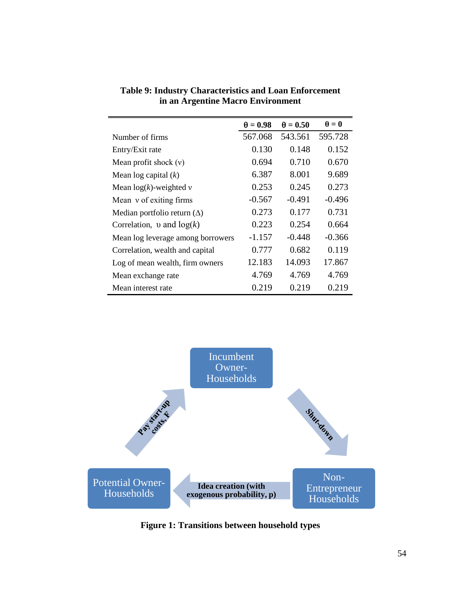|                                    | $\theta = 0.98$ | $\theta = 0.50$ | $\theta = 0$ |
|------------------------------------|-----------------|-----------------|--------------|
| Number of firms                    | 567.068         | 543.561         | 595.728      |
| Entry/Exit rate                    | 0.130           | 0.148           | 0.152        |
| Mean profit shock $(v)$            | 0.694           | 0.710           | 0.670        |
| Mean $log$ capital $(k)$           | 6.387           | 8.001           | 9.689        |
| Mean $log(k)$ -weighted v          | 0.253           | 0.245           | 0.273        |
| Mean v of exiting firms            | $-0.567$        | $-0.491$        | $-0.496$     |
| Median portfolio return $(\Delta)$ | 0.273           | 0.177           | 0.731        |
| Correlation, v and $log(k)$        | 0.223           | 0.254           | 0.664        |
| Mean log leverage among borrowers  | $-1.157$        | $-0.448$        | $-0.366$     |
| Correlation, wealth and capital    | 0.777           | 0.682           | 0.119        |
| Log of mean wealth, firm owners    | 12.183          | 14.093          | 17.867       |
| Mean exchange rate                 | 4.769           | 4.769           | 4.769        |
| Mean interest rate                 | 0.219           | 0.219           | 0.219        |

**Table 9: Industry Characteristics and Loan Enforcement in an Argentine Macro Environment**



**Figure 1: Transitions between household types**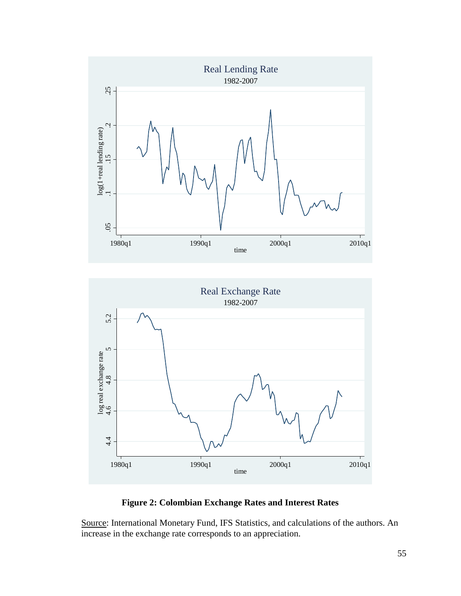



# **Figure 2: Colombian Exchange Rates and Interest Rates**

Source: International Monetary Fund, IFS Statistics, and calculations of the authors. An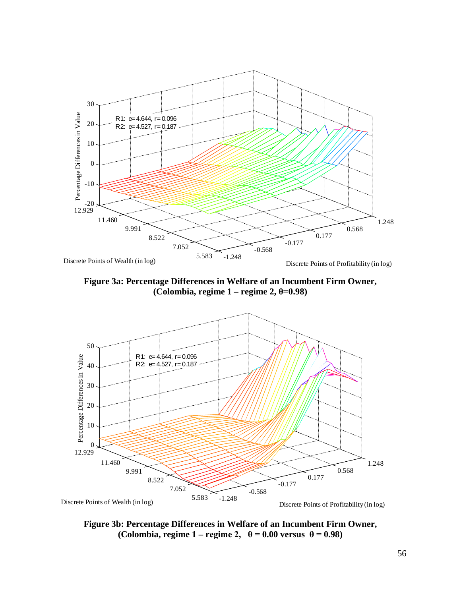

**Figure 3a: Percentage Differences in Welfare of an Incumbent Firm Owner, (Colombia, regime 1 – regime 2, θ=0.98)**



**Figure 3b: Percentage Differences in Welfare of an Incumbent Firm Owner, (Colombia, regime 1** – **regime 2,**  $\theta = 0.00$  **versus**  $\theta = 0.98$ )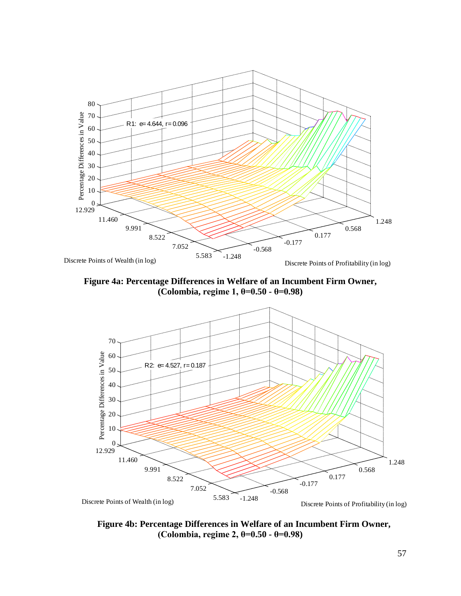

**Figure 4a: Percentage Differences in Welfare of an Incumbent Firm Owner, (Colombia, regime 1, θ=0.50 - θ=0.98)**



**Figure 4b: Percentage Differences in Welfare of an Incumbent Firm Owner, (Colombia, regime 2, θ=0.50 - θ=0.98)**